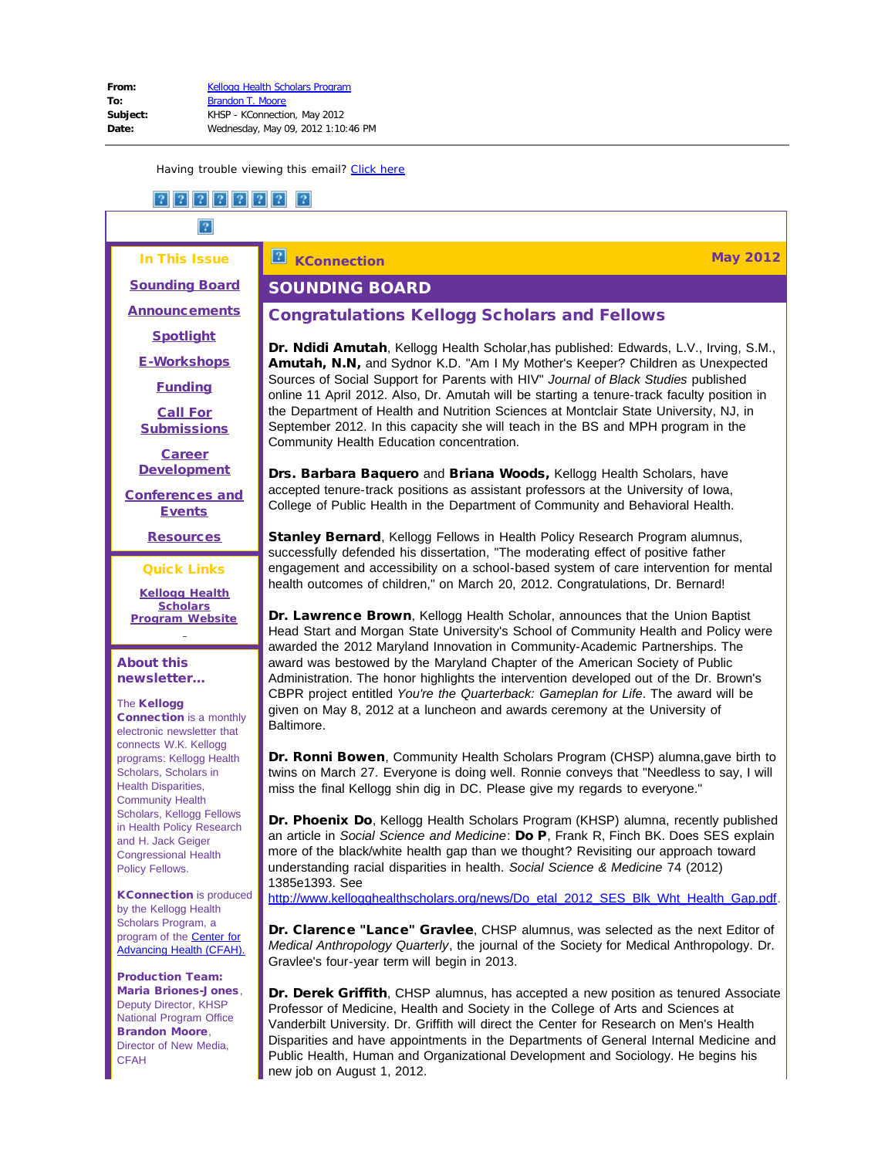#### In This Issue

<span id="page-0-0"></span>**[Sounding Board](#page-0-0)** 

**[Announcements](#page-1-0)** 

**[Spotlight](#page-1-1)** 

[E-Workshops](#page-2-0)

[Funding](#page-2-1)

[Call For](#page-3-0) **[Submissions](#page-3-0)** 

**[Career](#page-7-0) [Development](#page-7-0)** 

<span id="page-0-1"></span>[Conferences and](#page-15-0) **[Events](#page-15-0)** 

[Resources](#page-18-0)

Quick Links

**[Kellogg Health](http://r20.rs6.net/tn.jsp?e=001KfVOuv9ab0T1nLQ6WR9AqA7VlGLIHSLKZbvRQ82boeO05V-Hq1dTT_BELTTMKnm3_RVN2R69bPLDwirQZrMo2LN1_9EDaY980T7EuPGtFgIhRq1qq3guKCfteNU7w94J) [Scholars](http://r20.rs6.net/tn.jsp?e=001KfVOuv9ab0T1nLQ6WR9AqA7VlGLIHSLKZbvRQ82boeO05V-Hq1dTT_BELTTMKnm3_RVN2R69bPLDwirQZrMo2LN1_9EDaY980T7EuPGtFgIhRq1qq3guKCfteNU7w94J) [Program](http://r20.rs6.net/tn.jsp?e=001KfVOuv9ab0T1nLQ6WR9AqA7VlGLIHSLKZbvRQ82boeO05V-Hq1dTT_BELTTMKnm3_RVN2R69bPLDwirQZrMo2LN1_9EDaY980T7EuPGtFgIhRq1qq3guKCfteNU7w94J) Website**

## About this newsletter...

## The Kellogg

Connection is a monthly electronic newsletter that connects W.K. Kellogg programs: Kellogg Health Scholars, Scholars in Health Disparities, Community Health Scholars, Kellogg Fellows in Health Policy Research and H. Jack Geiger Congressional Health Policy Fellows.

**KConnection** is produced by the Kellogg Health Scholars Program, a program of the **Center for** [Advancing Health \(CFAH\).](http://r20.rs6.net/tn.jsp?e=001KfVOuv9ab0Q63oGwx2Y-q-0oXa2VwTBtz6-OPYdNu7Rsuj8_rdeu2YHDm_Nik3ZkWRkhvyQiWDhoZELNjNBtMY0swQvYQC2I47TznrXf_MY=)

Production Team: Maria Briones-Jones, Deputy Director, KHSP National Program Office Brandon Moore, Director of New Media, **CFAH** 

#### $\boxed{?}$ **KConnection May 2012**

## SOUNDING BOARD

## Congratulations Kellogg Scholars and Fellows

Dr. Ndidi Amutah, Kellogg Health Scholar,has published: Edwards, L.V., Irving, S.M., Amutah, N.N, and Sydnor K.D. "Am I My Mother's Keeper? Children as Unexpected Sources of Social Support for Parents with HIV" *Journal of Black Studies* published online 11 April 2012. Also, Dr. Amutah will be starting a tenure-track faculty position in the Department of Health and Nutrition Sciences at Montclair State University, NJ, in September 2012. In this capacity she will teach in the BS and MPH program in the Community Health Education concentration.

**Drs. Barbara Baquero** and **Briana Woods**, Kellogg Health Scholars, have accepted tenure-track positions as assistant professors at the University of Iowa, College of Public Health in the Department of Community and Behavioral Health.

**Stanley Bernard**, Kellogg Fellows in Health Policy Research Program alumnus, successfully defended his dissertation, "The moderating effect of positive father engagement and accessibility on a school-based system of care intervention for mental health outcomes of children," on March 20, 2012. Congratulations, Dr. Bernard!

Dr. Lawrence Brown, Kellogg Health Scholar, announces that the Union Baptist Head Start and Morgan State University's School of Community Health and Policy were awarded the 2012 Maryland Innovation in Community-Academic Partnerships. The award was bestowed by the Maryland Chapter of the American Society of Public Administration. The honor highlights the intervention developed out of the Dr. Brown's CBPR project entitled *You're the Quarterback: Gameplan for Life*. The award will be given on May 8, 2012 at a luncheon and awards ceremony at the University of Baltimore.

Dr. Ronni Bowen, Community Health Scholars Program (CHSP) alumna, gave birth to twins on March 27. Everyone is doing well. Ronnie conveys that "Needless to say, I will miss the final Kellogg shin dig in DC. Please give my regards to everyone."

Dr. Phoenix Do, Kellogg Health Scholars Program (KHSP) alumna, recently published an article in *Social Science and Medicine*: Do P, Frank R, Finch BK. Does SES explain more of the black/white health gap than we thought? Revisiting our approach toward understanding racial disparities in health. *Social Science & Medicine* 74 (2012) 1385e1393. See

[http://www.kellogghealthscholars.org/news/Do\\_etal\\_2012\\_SES\\_Blk\\_Wht\\_Health\\_Gap.pdf.](http://r20.rs6.net/tn.jsp?e=001KfVOuv9ab0StvNaNk2RCP6rAuVoqDjrcW9oaUBa2lr7rhIAhnZ2GOYAqJnUY_nv-DKFPV7eYmbLKNsX_xadqPWftQ6Ecn0bLySlJgR72FRVW1Lx-L59c7WkRq9S3dhYr0vE1qjmfzk3B4UjjYFtmV7jkqdtAOjB1m1EC3k_mWBy-gBH3KFrcU_HJRheqtOur)

Dr. Clarence "Lance" Gravlee, CHSP alumnus, was selected as the next Editor of *Medical Anthropology Quarterly*, the journal of the Society for Medical Anthropology. Dr. Gravlee's four-year term will begin in 2013.

Dr. Derek Griffith, CHSP alumnus, has accepted a new position as tenured Associate Professor of Medicine, Health and Society in the College of Arts and Sciences at Vanderbilt University. Dr. Griffith will direct the Center for Research on Men's Health Disparities and have appointments in the Departments of General Internal Medicine and Public Health, Human and Organizational Development and Sociology. He begins his new job on August 1, 2012.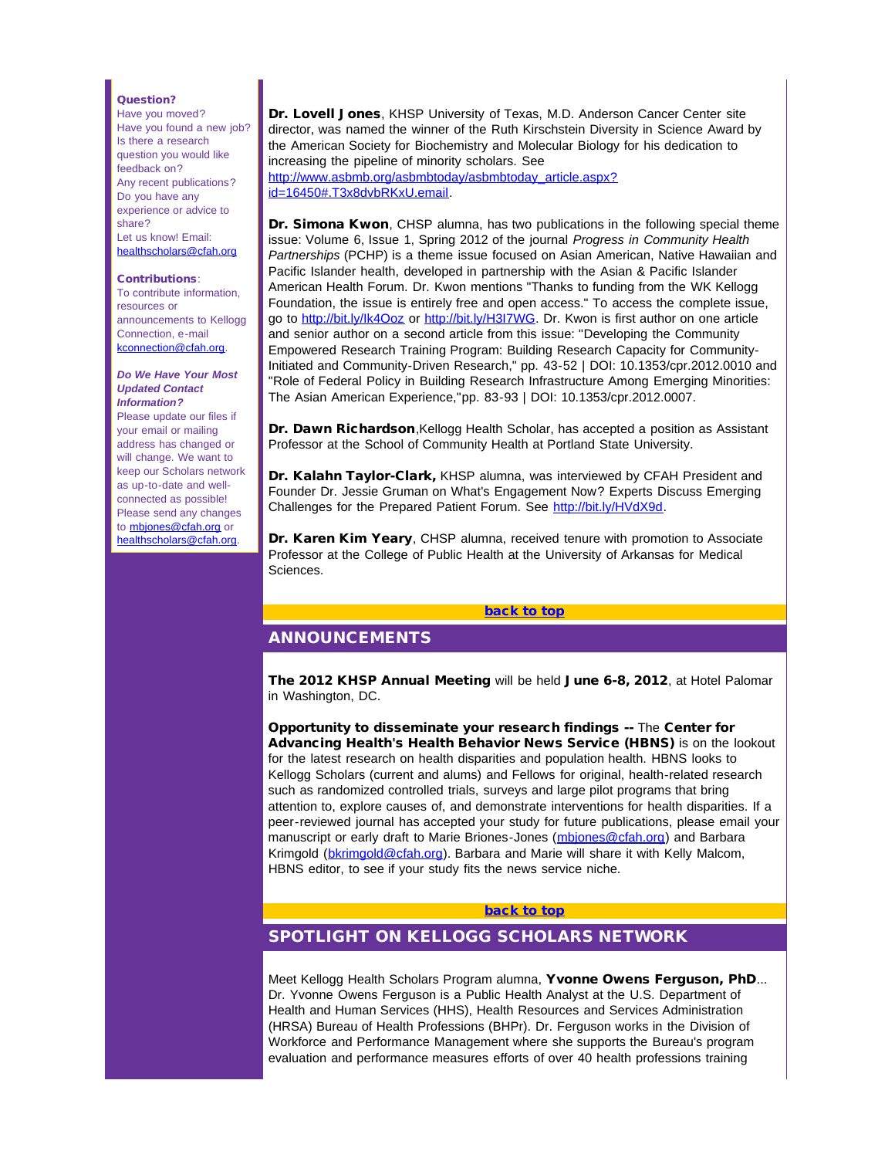#### Question?

Have you moved? Have you found a new job? Is there a research question you would like feedback on? Any recent publications? Do you have any experience or advice to share? Let us know! Email: [healthscholars@cfah.org](mailto:healthscholars@cfah.org)

#### Contributions:

To contribute information, resources or announcements to Kellogg Connection, e-mail [kconnection@cfah.org](mailto:kconnection@cfah.org).

#### <span id="page-1-0"></span>*Do We Have Your Most Updated Contact Information?*

Please update our files if your email or mailing address has changed or will change. We want to keep our Scholars network as up-to-date and wellconnected as possible! Please send any changes to **[mbjones@cfah.org](mailto:mbjones@cfah.org)** or [healthscholars@cfah.org](mailto:healthscholars@cfah.org).

Dr. Lovell Jones, KHSP University of Texas, M.D. Anderson Cancer Center site director, was named the winner of the Ruth Kirschstein Diversity in Science Award by the American Society for Biochemistry and Molecular Biology for his dedication to increasing the pipeline of minority scholars. See [http://www.asbmb.org/asbmbtoday/asbmbtoday\\_article.aspx?](http://r20.rs6.net/tn.jsp?e=001KfVOuv9ab0RbYRI_SyiJ-dOLPaG5GPATFa243x-0SJxzCAbsiC0ofwwgqrjvxmoIGBe6jkzDnY0NAwRHzMejwpNbizJ5Ms9sQJq9DKboSfjQ9o4lgEVT8Al73rhshgqTIEa5AiYsaXqhCQRQqiAyHCuMnfAtfVbnhOgI-n0UU-Z2vTqCTtL-r3o6H2Mpz6RR1kYywF132R8=) [id=16450#.T3x8dvbRKxU.email.](http://r20.rs6.net/tn.jsp?e=001KfVOuv9ab0RbYRI_SyiJ-dOLPaG5GPATFa243x-0SJxzCAbsiC0ofwwgqrjvxmoIGBe6jkzDnY0NAwRHzMejwpNbizJ5Ms9sQJq9DKboSfjQ9o4lgEVT8Al73rhshgqTIEa5AiYsaXqhCQRQqiAyHCuMnfAtfVbnhOgI-n0UU-Z2vTqCTtL-r3o6H2Mpz6RR1kYywF132R8=)

Dr. Simona Kwon, CHSP alumna, has two publications in the following special theme issue: Volume 6, Issue 1, Spring 2012 of the journal *Progress in Community Health Partnerships* (PCHP) is a theme issue focused on Asian American, Native Hawaiian and Pacific Islander health, developed in partnership with the Asian & Pacific Islander American Health Forum. Dr. Kwon mentions "Thanks to funding from the WK Kellogg Foundation, the issue is entirely free and open access." To access the complete issue, go to http://bit.ly/lk4Ooz or http://bit.ly/H3I7WG</u>. Dr. Kwon is first author on one article and senior author on a second article from this issue: "Developing the Community Empowered Research Training Program: Building Research Capacity for Community-Initiated and Community-Driven Research," pp. 43-52 | DOI: 10.1353/cpr.2012.0010 and "Role of Federal Policy in Building Research Infrastructure Among Emerging Minorities: The Asian American Experience,"pp. 83-93 | DOI: 10.1353/cpr.2012.0007.

Dr. Dawn Richardson, Kellogg Health Scholar, has accepted a position as Assistant Professor at the School of Community Health at Portland State University.

Dr. Kalahn Taylor-Clark, KHSP alumna, was interviewed by CFAH President and Founder Dr. Jessie Gruman on What's Engagement Now? Experts Discuss Emerging Challenges for the Prepared Patient Forum. See [http://bit.ly/HVdX9d.](http://r20.rs6.net/tn.jsp?e=001KfVOuv9ab0QGBQVH0BIE9mJ98nOb0jiCvwPfyYnx25T82MPyhUC2GEmeyhjbE3e-8TetUJsdmP9TOsHRYudz6L0IhQwb9Z-Hr7P5EhqR2ZOLcupuRWjJyoAdQzyN7aREQPpwE5YCE1J6fykJcyQPn6mSpDFuv6v5bTtWWFlEXNzeRgekq5Z7VKyCUA1HXvbn7JfAuBGY3JENtOCBD7oX0LMyVI9HQ9sD_ZcfS2_SYDSB2QHXObQutpo6nQBlSsaA)

Dr. Karen Kim Yeary, CHSP alumna, received tenure with promotion to Associate Professor at the College of Public Health at the University of Arkansas for Medical Sciences.

#### [back to top](#page-0-1)

## ANNOUNCEMENTS

<span id="page-1-1"></span>The 2012 KHSP Annual Meeting will be held June 6-8, 2012, at Hotel Palomar in Washington, DC.

Opportunity to disseminate your research findings -- The Center for Advancing Health's Health Behavior News Service (HBNS) is on the lookout for the latest research on health disparities and population health. HBNS looks to Kellogg Scholars (current and alums) and Fellows for original, health-related research such as randomized controlled trials, surveys and large pilot programs that bring attention to, explore causes of, and demonstrate interventions for health disparities. If a peer-reviewed journal has accepted your study for future publications, please email your manuscript or early draft to Marie Briones-Jones (mbiones@cfah.org) and Barbara Krimgold ([bkrimgold@cfah.org\)](mailto:bkrimgold@cfah.org). Barbara and Marie will share it with Kelly Malcom, HBNS editor, to see if your study fits the news service niche.

#### [back to top](#page-0-1)

## SPOTLIGHT ON KELLOGG SCHOLARS NETWORK

Meet Kellogg Health Scholars Program alumna, Yvonne Owens Ferguson, PhD... Dr. Yvonne Owens Ferguson is a Public Health Analyst at the U.S. Department of Health and Human Services (HHS), Health Resources and Services Administration (HRSA) Bureau of Health Professions (BHPr). Dr. Ferguson works in the Division of Workforce and Performance Management where she supports the Bureau's program evaluation and performance measures efforts of over 40 health professions training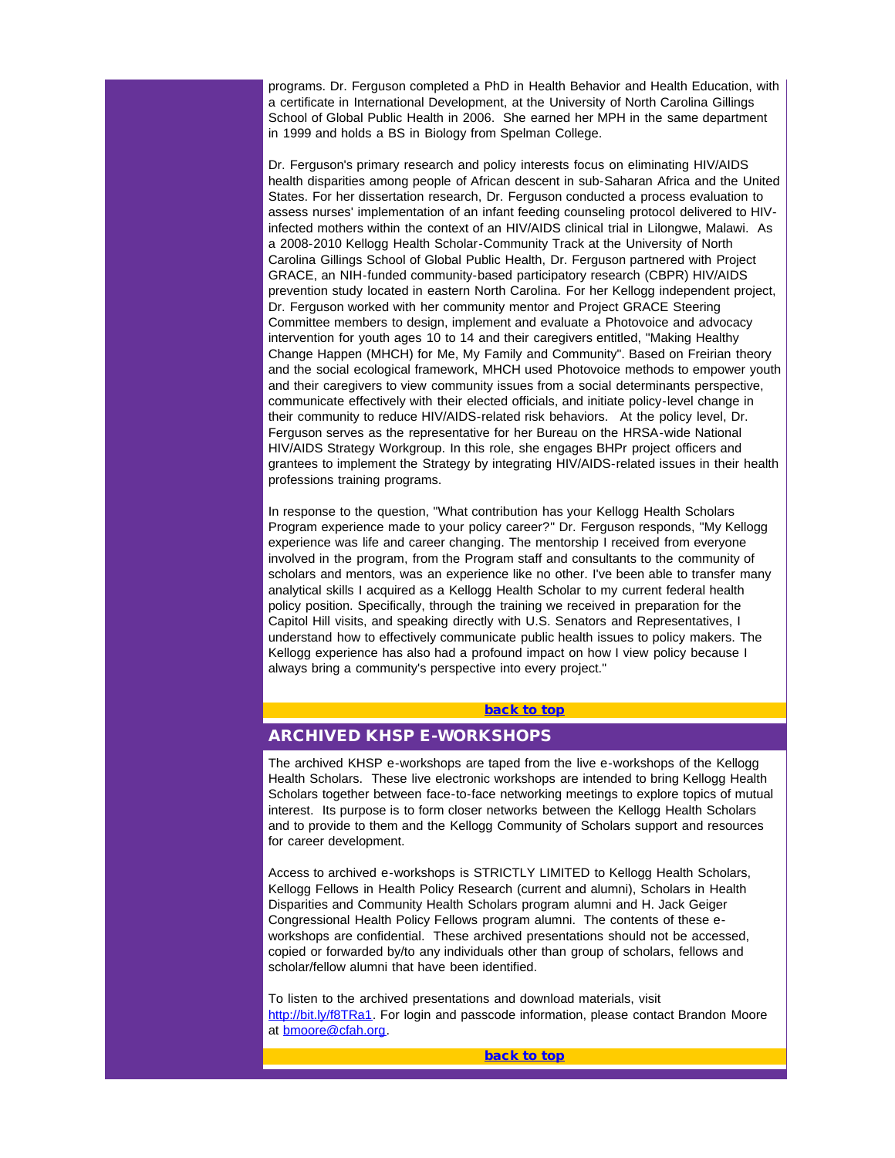programs. Dr. Ferguson completed a PhD in Health Behavior and Health Education, with a certificate in International Development, at the University of North Carolina Gillings School of Global Public Health in 2006. She earned her MPH in the same department in 1999 and holds a BS in Biology from Spelman College.

Dr. Ferguson's primary research and policy interests focus on eliminating HIV/AIDS health disparities among people of African descent in sub-Saharan Africa and the United States. For her dissertation research, Dr. Ferguson conducted a process evaluation to assess nurses' implementation of an infant feeding counseling protocol delivered to HIVinfected mothers within the context of an HIV/AIDS clinical trial in Lilongwe, Malawi. As a 2008-2010 Kellogg Health Scholar-Community Track at the University of North Carolina Gillings School of Global Public Health, Dr. Ferguson partnered with Project GRACE, an NIH-funded community-based participatory research (CBPR) HIV/AIDS prevention study located in eastern North Carolina. For her Kellogg independent project, Dr. Ferguson worked with her community mentor and Project GRACE Steering Committee members to design, implement and evaluate a Photovoice and advocacy intervention for youth ages 10 to 14 and their caregivers entitled, "Making Healthy Change Happen (MHCH) for Me, My Family and Community". Based on Freirian theory and the social ecological framework, MHCH used Photovoice methods to empower youth and their caregivers to view community issues from a social determinants perspective, communicate effectively with their elected officials, and initiate policy-level change in their community to reduce HIV/AIDS-related risk behaviors. At the policy level, Dr. Ferguson serves as the representative for her Bureau on the HRSA-wide National HIV/AIDS Strategy Workgroup. In this role, she engages BHPr project officers and grantees to implement the Strategy by integrating HIV/AIDS-related issues in their health professions training programs.

<span id="page-2-0"></span>In response to the question, "What contribution has your Kellogg Health Scholars Program experience made to your policy career?" Dr. Ferguson responds, "My Kellogg experience was life and career changing. The mentorship I received from everyone involved in the program, from the Program staff and consultants to the community of scholars and mentors, was an experience like no other. I've been able to transfer many analytical skills I acquired as a Kellogg Health Scholar to my current federal health policy position. Specifically, through the training we received in preparation for the Capitol Hill visits, and speaking directly with U.S. Senators and Representatives, I understand how to effectively communicate public health issues to policy makers. The Kellogg experience has also had a profound impact on how I view policy because I always bring a community's perspective into every project."

#### [back to top](#page-0-1)

## ARCHIVED KHSP E-WORKSHOPS

The archived KHSP e-workshops are taped from the live e-workshops of the Kellogg Health Scholars. These live electronic workshops are intended to bring Kellogg Health Scholars together between face-to-face networking meetings to explore topics of mutual interest. Its purpose is to form closer networks between the Kellogg Health Scholars and to provide to them and the Kellogg Community of Scholars support and resources for career development.

<span id="page-2-1"></span>Access to archived e-workshops is STRICTLY LIMITED to Kellogg Health Scholars, Kellogg Fellows in Health Policy Research (current and alumni), Scholars in Health Disparities and Community Health Scholars program alumni and H. Jack Geiger Congressional Health Policy Fellows program alumni. The contents of these eworkshops are confidential. These archived presentations should not be accessed, copied or forwarded by/to any individuals other than group of scholars, fellows and scholar/fellow alumni that have been identified.

To listen to the archived presentations and download materials, visit [http://bit.ly/f8TRa1.](http://r20.rs6.net/tn.jsp?e=001KfVOuv9ab0RW2-82NUkRMt9DTbtnwgiv69TfWisddiv6DOFqqZXhZCGFlxZ1nyCvX_VQRohZ_SMbkdlBDjtHypVyBcANjqc5SDbMD9vZhmDbU7P_LY9ZFLzgDN9JHgA7Cnjs1CgPPsA=) For login and passcode information, please contact Brandon Moore at **bmoore@cfah.org**.

[back to top](#page-0-1)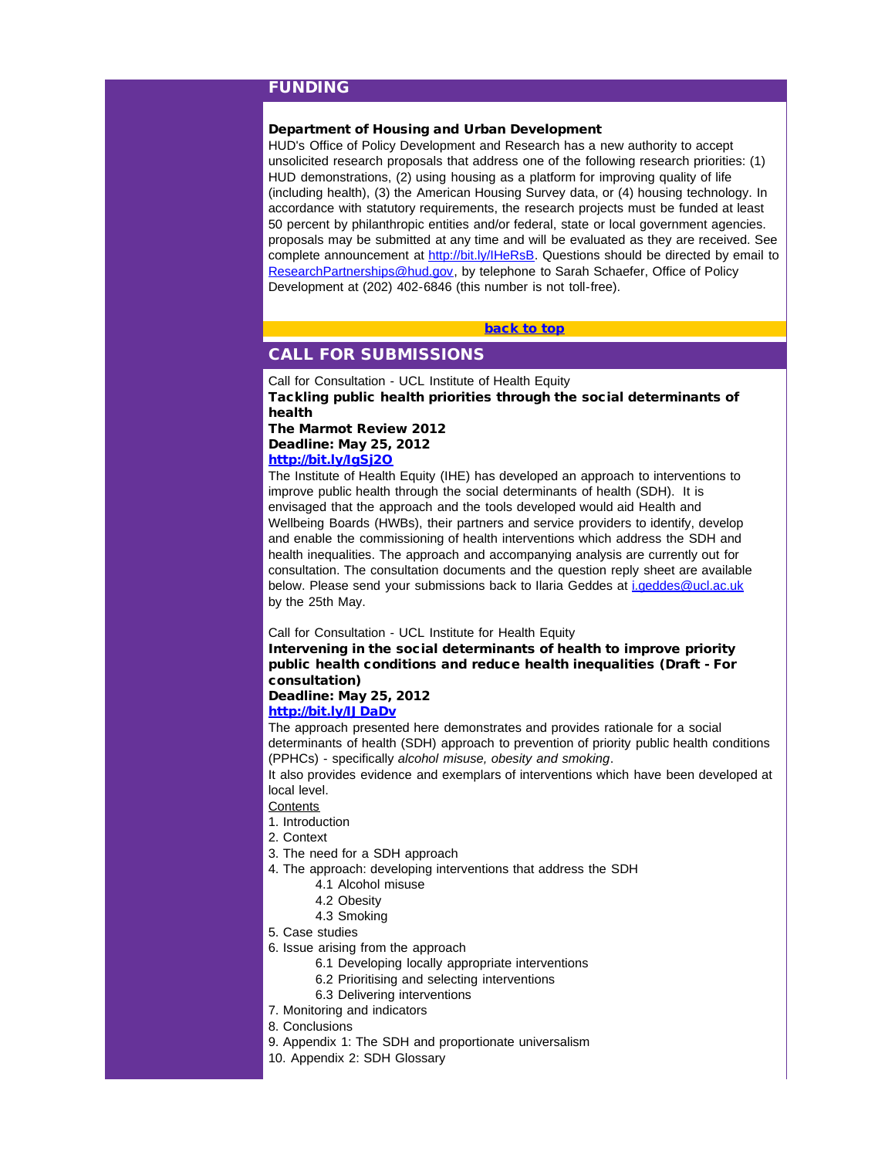## FUNDING

## <span id="page-3-0"></span>Department of Housing and Urban Development

HUD's Office of Policy Development and Research has a new authority to accept unsolicited research proposals that address one of the following research priorities: (1) HUD demonstrations, (2) using housing as a platform for improving quality of life (including health), (3) the American Housing Survey data, or (4) housing technology. In accordance with statutory requirements, the research projects must be funded at least 50 percent by philanthropic entities and/or federal, state or local government agencies. proposals may be submitted at any time and will be evaluated as they are received. See complete announcement at [http://bit.ly/IHeRsB.](http://r20.rs6.net/tn.jsp?e=001KfVOuv9ab0TIp03gJ6hqkfwoQcV0dyMGleNLkNyloNGrYcLpDZ4TmainwFBvheMLhlfy5aAZ5LUz7_jOlrsEVUxRePqam9etg7xSq4wDh9U=) Questions should be directed by email to [ResearchPartnerships@hud.gov,](mailto:ResearchPartnerships@hud.gov) by telephone to Sarah Schaefer, Office of Policy Development at (202) 402-6846 (this number is not toll-free).

#### [back to top](#page-0-1)

## CALL FOR SUBMISSIONS

Call for Consultation - UCL Institute of Health Equity Tackling public health priorities through the social determinants of health The Marmot Review 2012

#### Deadline: May 25, 2012 [http://bit.ly/IgSj2O](http://r20.rs6.net/tn.jsp?e=001KfVOuv9ab0TrJf7IjwZRhHJku6xPl4nBBtDuNcDKHNNYLbuSm_P6KPjZyUtxesp5b3HFPSi6BHvMipveVH8z4A09aMY0ELSHLZ36kgh__1E=)

The Institute of Health Equity (IHE) has developed an approach to interventions to improve public health through the social determinants of health (SDH). It is envisaged that the approach and the tools developed would aid Health and Wellbeing Boards (HWBs), their partners and service providers to identify, develop and enable the commissioning of health interventions which address the SDH and health inequalities. The approach and accompanying analysis are currently out for consultation. The consultation documents and the question reply sheet are available below. Please send your submissions back to Ilaria Geddes at [i.geddes@ucl.ac.uk](mailto:i.geddes@ucl.ac.uk) by the 25th May.

Call for Consultation - UCL Institute for Health Equity

Intervening in the social determinants of health to improve priority public health conditions and reduce health inequalities (Draft - For consultation)

# Deadline: May 25, 2012

# [http://bit.ly/IJDaDv](http://r20.rs6.net/tn.jsp?e=001KfVOuv9ab0SwZgDV9ZRcW3izEhyddfACImF_29pHJWpJ3UrcT9Cmgk9-_XqLjc1dOan3HJU4kqwc31SH42TzchKlDsgYvZKPRH2wseGgC6k=)

The approach presented here demonstrates and provides rationale for a social determinants of health (SDH) approach to prevention of priority public health conditions (PPHCs) - specifically *alcohol misuse, obesity and smoking*.

It also provides evidence and exemplars of interventions which have been developed at local level.

#### **Contents**

- 1. Introduction
- 2. Context
- 3. The need for a SDH approach
- 4. The approach: developing interventions that address the SDH
	- 4.1 Alcohol misuse
	- 4.2 Obesity
	- 4.3 Smoking
- 5. Case studies
- 6. Issue arising from the approach
	- 6.1 Developing locally appropriate interventions
	- 6.2 Prioritising and selecting interventions
	- 6.3 Delivering interventions
- 7. Monitoring and indicators
- 8. Conclusions
- 9. Appendix 1: The SDH and proportionate universalism
- 10. Appendix 2: SDH Glossary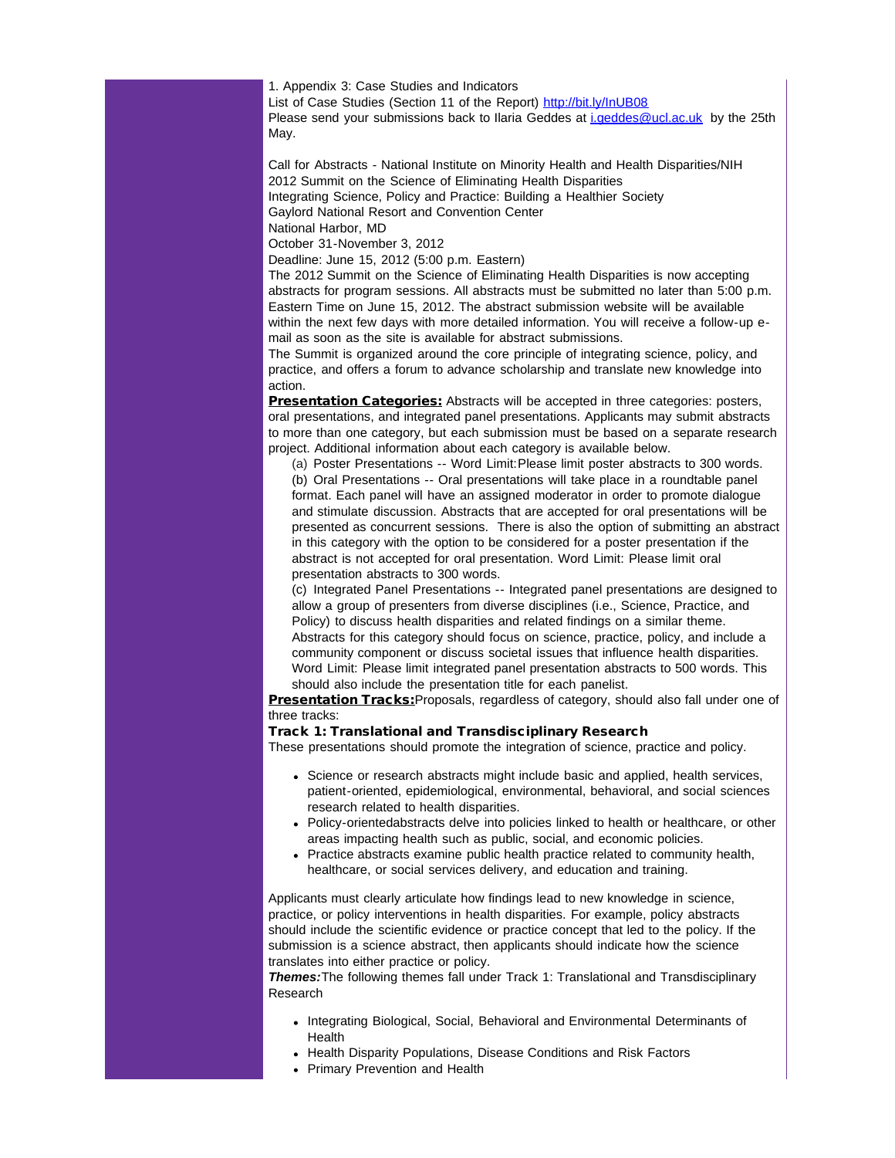1. Appendix 3: Case Studies and Indicators List of Case Studies (Section 11 of the Report) [http://bit.ly/InUB08](http://r20.rs6.net/tn.jsp?e=001KfVOuv9ab0TJz_-fbGHHRlQ09Pv1vF_0tUzZPX0b040UWkeAkwng4DAW6AQX-GvGd3YHoBQ0tooStqVvrhcxOHww9-2fzqGUa_uYdKgXIcc=) Please send your submissions back to Ilaria Geddes at *[i.geddes@ucl.ac.uk](mailto:i.geddes@ucl.ac.uk)* by the 25th May.

Call for Abstracts - National Institute on Minority Health and Health Disparities/NIH 2012 Summit on the Science of Eliminating Health Disparities Integrating Science, Policy and Practice: Building a Healthier Society Gaylord National Resort and Convention Center National Harbor, MD

October 31-November 3, 2012

Deadline: June 15, 2012 (5:00 p.m. Eastern)

The 2012 Summit on the Science of Eliminating Health Disparities is now accepting abstracts for program sessions. All abstracts must be submitted no later than 5:00 p.m. Eastern Time on June 15, 2012. The abstract submission website will be available within the next few days with more detailed information. You will receive a follow-up email as soon as the site is available for abstract submissions.

The Summit is organized around the core principle of integrating science, policy, and practice, and offers a forum to advance scholarship and translate new knowledge into action.

**Presentation Categories:** Abstracts will be accepted in three categories: posters, oral presentations, and integrated panel presentations. Applicants may submit abstracts to more than one category, but each submission must be based on a separate research project. Additional information about each category is available below.

(a) Poster Presentations -- Word Limit:Please limit poster abstracts to 300 words. (b) Oral Presentations -- Oral presentations will take place in a roundtable panel format. Each panel will have an assigned moderator in order to promote dialogue and stimulate discussion. Abstracts that are accepted for oral presentations will be presented as concurrent sessions. There is also the option of submitting an abstract in this category with the option to be considered for a poster presentation if the abstract is not accepted for oral presentation. Word Limit: Please limit oral presentation abstracts to 300 words.

(c) Integrated Panel Presentations -- Integrated panel presentations are designed to allow a group of presenters from diverse disciplines (i.e., Science, Practice, and Policy) to discuss health disparities and related findings on a similar theme. Abstracts for this category should focus on science, practice, policy, and include a community component or discuss societal issues that influence health disparities. Word Limit: Please limit integrated panel presentation abstracts to 500 words. This should also include the presentation title for each panelist.

Presentation Tracks: Proposals, regardless of category, should also fall under one of three tracks:

#### Track 1: Translational and Transdisciplinary Research

These presentations should promote the integration of science, practice and policy.

- Science or research abstracts might include basic and applied, health services, patient-oriented, epidemiological, environmental, behavioral, and social sciences research related to health disparities.
- Policy-orientedabstracts delve into policies linked to health or healthcare, or other areas impacting health such as public, social, and economic policies.
- Practice abstracts examine public health practice related to community health, healthcare, or social services delivery, and education and training.

Applicants must clearly articulate how findings lead to new knowledge in science, practice, or policy interventions in health disparities. For example, policy abstracts should include the scientific evidence or practice concept that led to the policy. If the submission is a science abstract, then applicants should indicate how the science translates into either practice or policy.

*Themes:*The following themes fall under Track 1: Translational and Transdisciplinary Research

- Integrating Biological, Social, Behavioral and Environmental Determinants of Health
- Health Disparity Populations, Disease Conditions and Risk Factors
- Primary Prevention and Health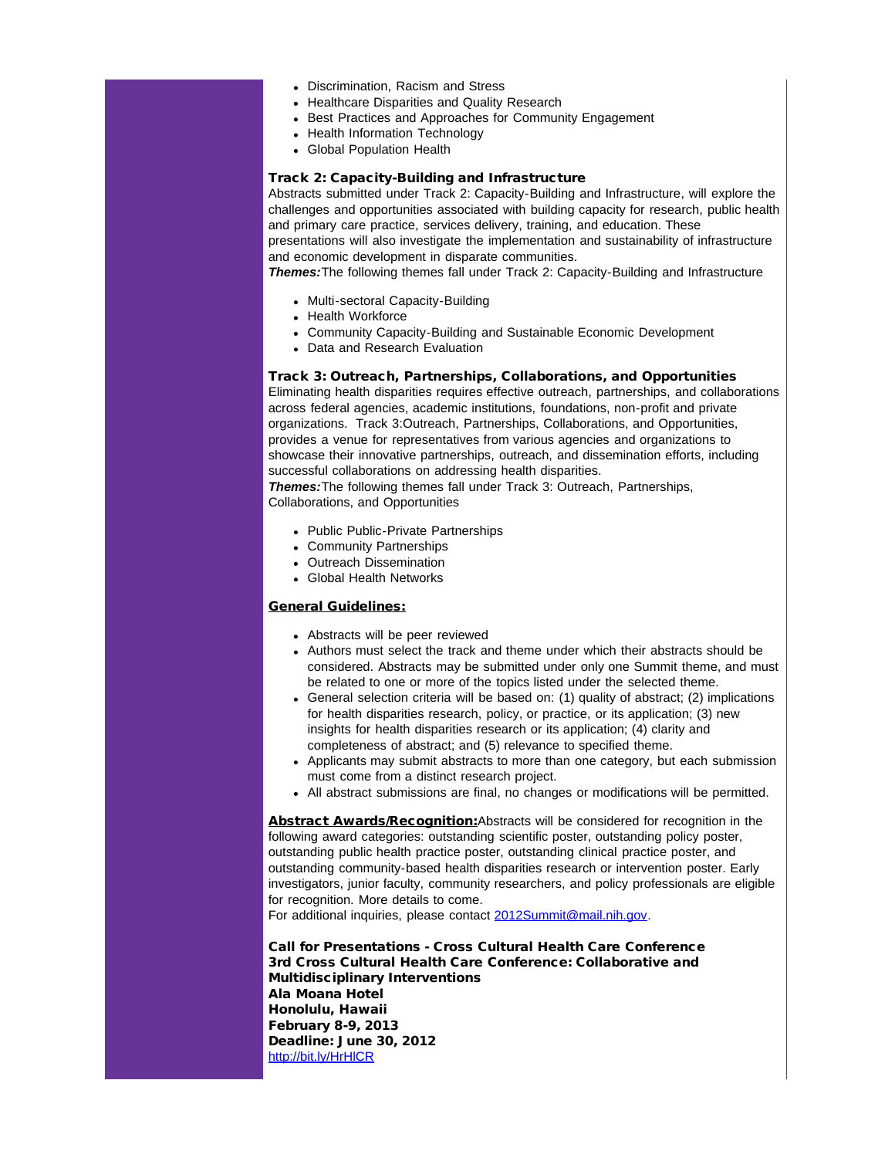- Discrimination, Racism and Stress
- Healthcare Disparities and Quality Research
- Best Practices and Approaches for Community Engagement
- Health Information Technology
- Global Population Health

## Track 2: Capacity-Building and Infrastructure

Abstracts submitted under Track 2: Capacity-Building and Infrastructure, will explore the challenges and opportunities associated with building capacity for research, public health and primary care practice, services delivery, training, and education. These presentations will also investigate the implementation and sustainability of infrastructure and economic development in disparate communities.

*Themes:*The following themes fall under Track 2: Capacity-Building and Infrastructure

- Multi-sectoral Capacity-Building
- Health Workforce
- Community Capacity-Building and Sustainable Economic Development
- Data and Research Evaluation

#### Track 3: Outreach, Partnerships, Collaborations, and Opportunities

Eliminating health disparities requires effective outreach, partnerships, and collaborations across federal agencies, academic institutions, foundations, non-profit and private organizations. Track 3:Outreach, Partnerships, Collaborations, and Opportunities, provides a venue for representatives from various agencies and organizations to showcase their innovative partnerships, outreach, and dissemination efforts, including successful collaborations on addressing health disparities.

*Themes:*The following themes fall under Track 3: Outreach, Partnerships, Collaborations, and Opportunities

- Public Public-Private Partnerships
- Community Partnerships
- Outreach Dissemination
- Global Health Networks

## General Guidelines:

- Abstracts will be peer reviewed
- Authors must select the track and theme under which their abstracts should be considered. Abstracts may be submitted under only one Summit theme, and must be related to one or more of the topics listed under the selected theme.
- General selection criteria will be based on: (1) quality of abstract; (2) implications for health disparities research, policy, or practice, or its application; (3) new insights for health disparities research or its application; (4) clarity and completeness of abstract; and (5) relevance to specified theme.
- Applicants may submit abstracts to more than one category, but each submission must come from a distinct research project.
- All abstract submissions are final, no changes or modifications will be permitted.

Abstract Awards/Recognition: Abstracts will be considered for recognition in the following award categories: outstanding scientific poster, outstanding policy poster, outstanding public health practice poster, outstanding clinical practice poster, and outstanding community-based health disparities research or intervention poster. Early investigators, junior faculty, community researchers, and policy professionals are eligible for recognition. More details to come.

For additional inquiries, please contact [2012Summit@mail.nih.gov](mailto:2012Summit@mail.nih.gov).

Call for Presentations - Cross Cultural Health Care Conference 3rd Cross Cultural Health Care Conference: Collaborative and Multidisciplinary Interventions Ala Moana Hotel Honolulu, Hawaii February 8-9, 2013 Deadline: June 30, 2012 [http://bit.ly/HrHlCR](http://r20.rs6.net/tn.jsp?e=001KfVOuv9ab0S8SpkfpqlMWJArkzdRigfQxD5501aMw2RNZDy3SSaulpaI--K0IU9nci2JHYPUfeIpMZpNEIBYEDLeA57wEM5xoUZ1rTYPp_s=)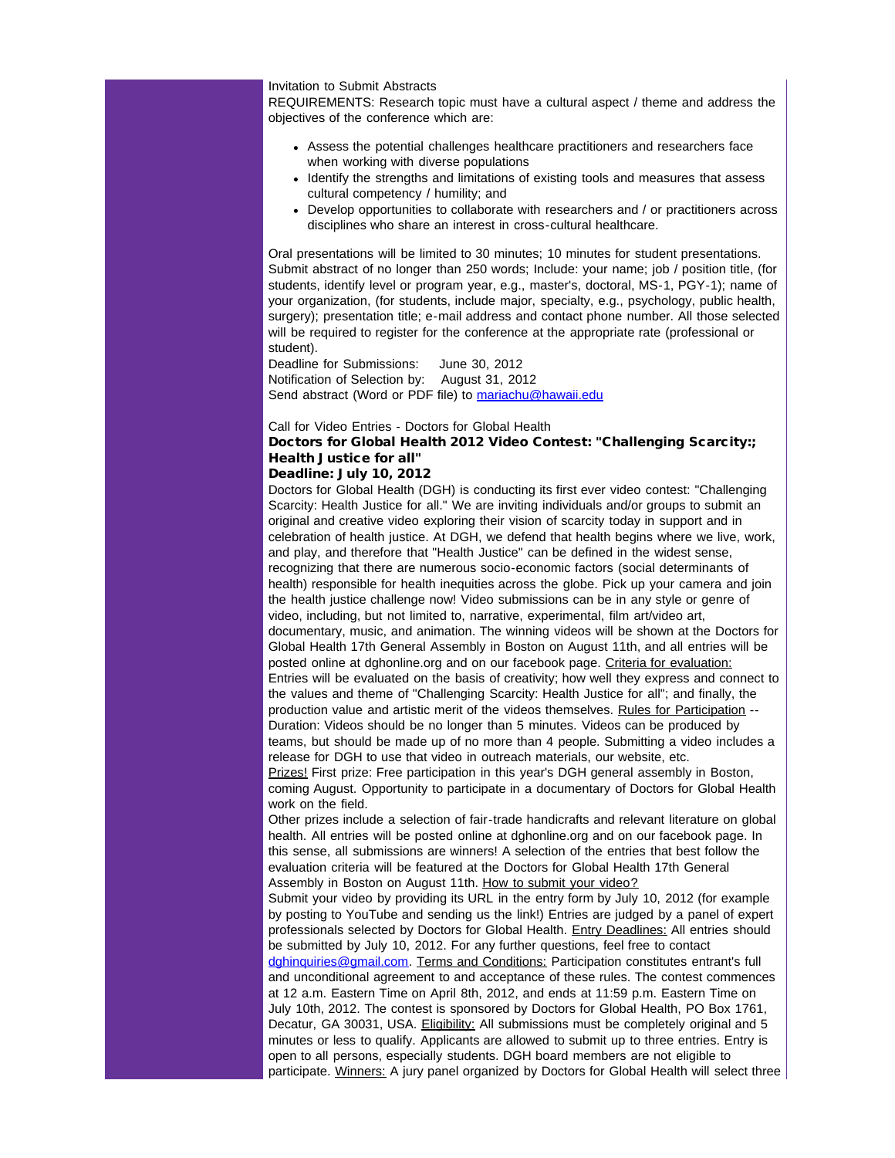Invitation to Submit Abstracts

REQUIREMENTS: Research topic must have a cultural aspect / theme and address the objectives of the conference which are:

- Assess the potential challenges healthcare practitioners and researchers face when working with diverse populations
- Identify the strengths and limitations of existing tools and measures that assess cultural competency / humility; and
- Develop opportunities to collaborate with researchers and / or practitioners across disciplines who share an interest in cross-cultural healthcare.

Oral presentations will be limited to 30 minutes; 10 minutes for student presentations. Submit abstract of no longer than 250 words; Include: your name; job / position title, (for students, identify level or program year, e.g., master's, doctoral, MS-1, PGY-1); name of your organization, (for students, include major, specialty, e.g., psychology, public health, surgery); presentation title; e-mail address and contact phone number. All those selected will be required to register for the conference at the appropriate rate (professional or student).

Deadline for Submissions: June 30, 2012 Notification of Selection by: August 31, 2012 Send abstract (Word or PDF file) to [mariachu@hawaii.edu](mailto:mariachu@hawaii.edu)

Call for Video Entries - Doctors for Global Health

# Doctors for Global Health 2012 Video Contest: "Challenging Scarcity:; Health Justice for all"

## Deadline: July 10, 2012

Doctors for Global Health (DGH) is conducting its first ever video contest: "Challenging Scarcity: Health Justice for all." We are inviting individuals and/or groups to submit an original and creative video exploring their vision of scarcity today in support and in celebration of health justice. At DGH, we defend that health begins where we live, work, and play, and therefore that "Health Justice" can be defined in the widest sense, recognizing that there are numerous socio-economic factors (social determinants of health) responsible for health inequities across the globe. Pick up your camera and join the health justice challenge now! Video submissions can be in any style or genre of video, including, but not limited to, narrative, experimental, film art/video art, documentary, music, and animation. The winning videos will be shown at the Doctors for Global Health 17th General Assembly in Boston on August 11th, and all entries will be posted online at dghonline.org and on our facebook page. Criteria for evaluation: Entries will be evaluated on the basis of creativity; how well they express and connect to the values and theme of "Challenging Scarcity: Health Justice for all"; and finally, the production value and artistic merit of the videos themselves. Rules for Participation -- Duration: Videos should be no longer than 5 minutes. Videos can be produced by teams, but should be made up of no more than 4 people. Submitting a video includes a release for DGH to use that video in outreach materials, our website, etc. Prizes! First prize: Free participation in this year's DGH general assembly in Boston, coming August. Opportunity to participate in a documentary of Doctors for Global Health work on the field.

Other prizes include a selection of fair-trade handicrafts and relevant literature on global health. All entries will be posted online at dghonline.org and on our facebook page. In this sense, all submissions are winners! A selection of the entries that best follow the evaluation criteria will be featured at the Doctors for Global Health 17th General Assembly in Boston on August 11th. How to submit your video?

Submit your video by providing its URL in the entry form by July 10, 2012 (for example by posting to YouTube and sending us the link!) Entries are judged by a panel of expert professionals selected by Doctors for Global Health. Entry Deadlines: All entries should be submitted by July 10, 2012. For any further questions, feel free to contact [dghinquiries@gmail.com.](mailto:dghinquiries@gmail.com) Terms and Conditions: Participation constitutes entrant's full and unconditional agreement to and acceptance of these rules. The contest commences at 12 a.m. Eastern Time on April 8th, 2012, and ends at 11:59 p.m. Eastern Time on July 10th, 2012. The contest is sponsored by Doctors for Global Health, PO Box 1761, Decatur, GA 30031, USA. Eligibility: All submissions must be completely original and 5 minutes or less to qualify. Applicants are allowed to submit up to three entries. Entry is open to all persons, especially students. DGH board members are not eligible to participate. Winners: A jury panel organized by Doctors for Global Health will select three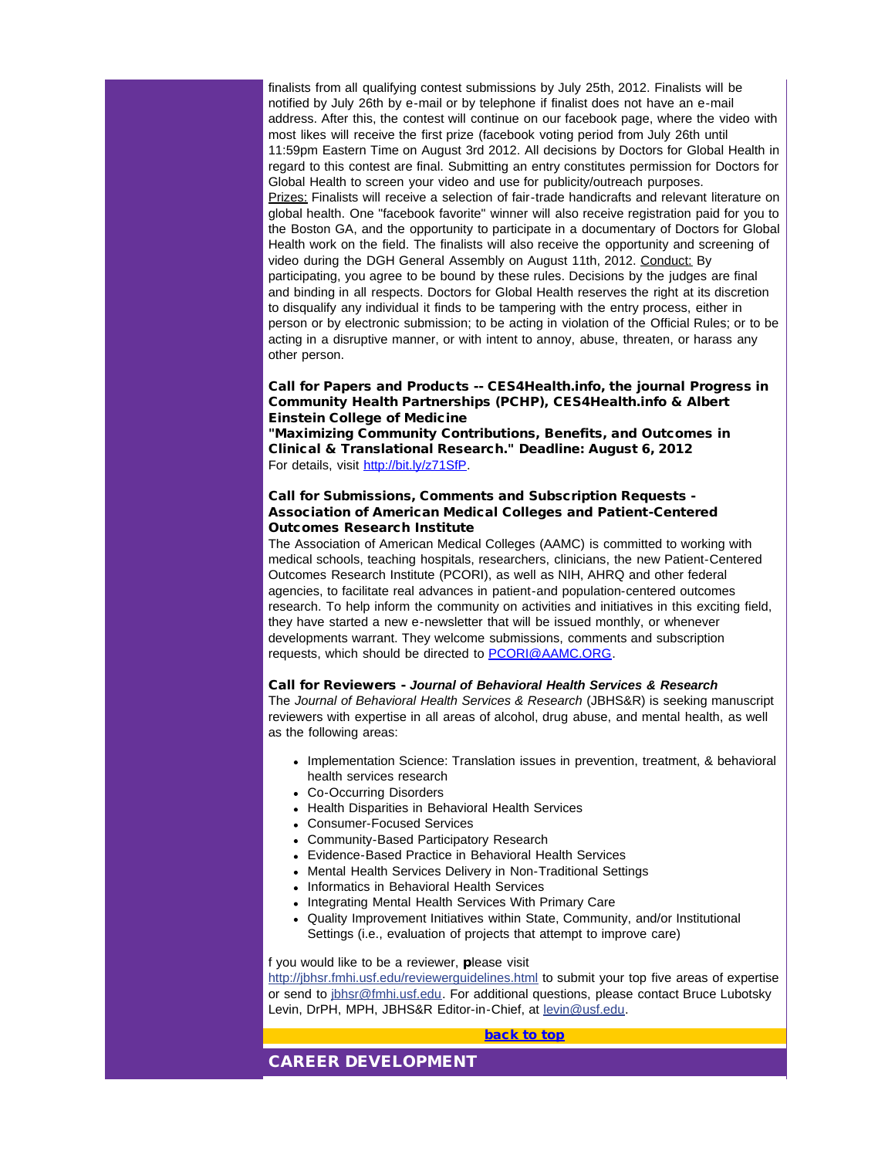finalists from all qualifying contest submissions by July 25th, 2012. Finalists will be notified by July 26th by e-mail or by telephone if finalist does not have an e-mail address. After this, the contest will continue on our facebook page, where the video with most likes will receive the first prize (facebook voting period from July 26th until 11:59pm Eastern Time on August 3rd 2012. All decisions by Doctors for Global Health in regard to this contest are final. Submitting an entry constitutes permission for Doctors for Global Health to screen your video and use for publicity/outreach purposes. Prizes: Finalists will receive a selection of fair-trade handicrafts and relevant literature on global health. One "facebook favorite" winner will also receive registration paid for you to the Boston GA, and the opportunity to participate in a documentary of Doctors for Global Health work on the field. The finalists will also receive the opportunity and screening of video during the DGH General Assembly on August 11th, 2012. Conduct: By participating, you agree to be bound by these rules. Decisions by the judges are final and binding in all respects. Doctors for Global Health reserves the right at its discretion to disqualify any individual it finds to be tampering with the entry process, either in person or by electronic submission; to be acting in violation of the Official Rules; or to be acting in a disruptive manner, or with intent to annoy, abuse, threaten, or harass any other person.

#### Call for Papers and Products -- CES4Health.info, the journal Progress in Community Health Partnerships (PCHP), CES4Health.info & Albert Einstein College of Medicine

"Maximizing Community Contributions, Benefits, and Outcomes in Clinical & Translational Research." Deadline: August 6, 2012 For details, visit [http://bit.ly/z71SfP.](http://r20.rs6.net/tn.jsp?e=001KfVOuv9ab0TV_rOW3caapz0_xq8IHAn0NvAoRLJFtVu09hf9BUJadaTxWo4wH9hO4Eb_3cyJ5N7762JaZtrhgLr8a3XoL60te2jdAipgJ_U=)

#### Call for Submissions, Comments and Subscription Requests - Association of American Medical Colleges and Patient-Centered Outcomes Research Institute

The Association of American Medical Colleges (AAMC) is committed to working with medical schools, teaching hospitals, researchers, clinicians, the new Patient-Centered Outcomes Research Institute (PCORI), as well as NIH, AHRQ and other federal agencies, to facilitate real advances in patient-and population-centered outcomes research. To help inform the community on activities and initiatives in this exciting field, they have started a new e-newsletter that will be issued monthly, or whenever developments warrant. They welcome submissions, comments and subscription requests, which should be directed to [PCORI@AAMC.ORG.](mailto:PCORI@AAMC.ORG)

#### Call for Reviewers - *Journal of Behavioral Health Services & Research*

The *Journal of Behavioral Health Services & Research* (JBHS&R) is seeking manuscript reviewers with expertise in all areas of alcohol, drug abuse, and mental health, as well as the following areas:

- Implementation Science: Translation issues in prevention, treatment, & behavioral health services research
- <span id="page-7-0"></span>Co-Occurring Disorders
- Health Disparities in Behavioral Health Services
- Consumer-Focused Services
- Community-Based Participatory Research
- Evidence-Based Practice in Behavioral Health Services
- Mental Health Services Delivery in Non-Traditional Settings
- Informatics in Behavioral Health Services
- Integrating Mental Health Services With Primary Care
- Quality Improvement Initiatives within State, Community, and/or Institutional Settings (i.e., evaluation of projects that attempt to improve care)

#### f you would like to be a reviewer, please visit

[http://jbhsr.fmhi.usf.edu/reviewerguidelines.html](http://r20.rs6.net/tn.jsp?e=001KfVOuv9ab0TFFQNihPLmsDoAwnraZBElLubqP-2nZJrKU29YpYDDGwjtyMBzQpFHr2gTeOffrJDrtiMpCPVKY89c2w1n5N_7R4ucftHX9c4rRQ9bf_RBMToCIZ-lA-xG7nNTrPw-ISikRkXQUdyECNigK5hX_EsaES4LvUvE8KloCjfA3OfLiMtsTJCNAP_Wer5KeWjVwvbtwrXzSjjk2h7dPgsdynBK) to submit your top five areas of expertise or send to [jbhsr@fmhi.usf.edu.](mailto:jbhsr@fmhi.usf.edu?subject=Reviewer%20Expertise%20Submission) For additional questions, please contact Bruce Lubotsky Levin, DrPH, MPH, JBHS&R Editor-in-Chief, at [levin@usf.edu.](mailto:levin@usf.edu?subject=JBHS%26R%20Reviewer%20Question)

[back to top](#page-0-1)

## CAREER DEVELOPMENT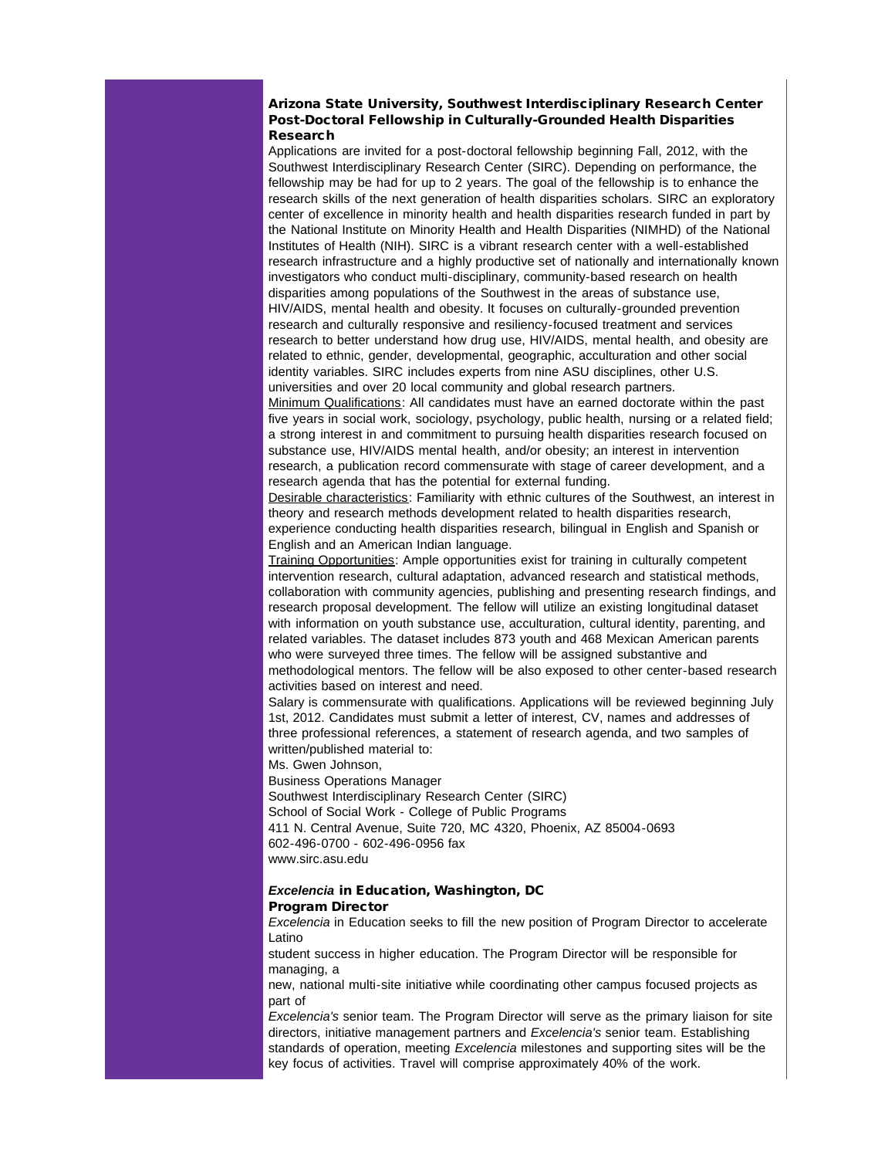#### Arizona State University, Southwest Interdisciplinary Research Center Post-Doctoral Fellowship in Culturally-Grounded Health Disparities Research

Applications are invited for a post-doctoral fellowship beginning Fall, 2012, with the Southwest Interdisciplinary Research Center (SIRC). Depending on performance, the fellowship may be had for up to 2 years. The goal of the fellowship is to enhance the research skills of the next generation of health disparities scholars. SIRC an exploratory center of excellence in minority health and health disparities research funded in part by the National Institute on Minority Health and Health Disparities (NIMHD) of the National Institutes of Health (NIH). SIRC is a vibrant research center with a well-established research infrastructure and a highly productive set of nationally and internationally known investigators who conduct multi-disciplinary, community-based research on health disparities among populations of the Southwest in the areas of substance use, HIV/AIDS, mental health and obesity. It focuses on culturally-grounded prevention research and culturally responsive and resiliency-focused treatment and services research to better understand how drug use, HIV/AIDS, mental health, and obesity are related to ethnic, gender, developmental, geographic, acculturation and other social identity variables. SIRC includes experts from nine ASU disciplines, other U.S. universities and over 20 local community and global research partners.

Minimum Qualifications: All candidates must have an earned doctorate within the past five years in social work, sociology, psychology, public health, nursing or a related field; a strong interest in and commitment to pursuing health disparities research focused on substance use, HIV/AIDS mental health, and/or obesity; an interest in intervention research, a publication record commensurate with stage of career development, and a research agenda that has the potential for external funding.

Desirable characteristics: Familiarity with ethnic cultures of the Southwest, an interest in theory and research methods development related to health disparities research, experience conducting health disparities research, bilingual in English and Spanish or English and an American Indian language.

Training Opportunities: Ample opportunities exist for training in culturally competent intervention research, cultural adaptation, advanced research and statistical methods, collaboration with community agencies, publishing and presenting research findings, and research proposal development. The fellow will utilize an existing longitudinal dataset with information on youth substance use, acculturation, cultural identity, parenting, and related variables. The dataset includes 873 youth and 468 Mexican American parents who were surveyed three times. The fellow will be assigned substantive and methodological mentors. The fellow will be also exposed to other center-based research activities based on interest and need.

Salary is commensurate with qualifications. Applications will be reviewed beginning July 1st, 2012. Candidates must submit a letter of interest, CV, names and addresses of three professional references, a statement of research agenda, and two samples of written/published material to:

Ms. Gwen Johnson,

Business Operations Manager

Southwest Interdisciplinary Research Center (SIRC) School of Social Work - College of Public Programs 411 N. Central Avenue, Suite 720, MC 4320, Phoenix, AZ 85004-0693 602-496-0700 - 602-496-0956 fax www.sirc.asu.edu

## *Excelencia* in Education, Washington, DC Program Director

*Excelencia* in Education seeks to fill the new position of Program Director to accelerate Latino

student success in higher education. The Program Director will be responsible for managing, a

new, national multi-site initiative while coordinating other campus focused projects as part of

*Excelencia's* senior team. The Program Director will serve as the primary liaison for site directors, initiative management partners and *Excelencia's* senior team. Establishing standards of operation, meeting *Excelencia* milestones and supporting sites will be the key focus of activities. Travel will comprise approximately 40% of the work.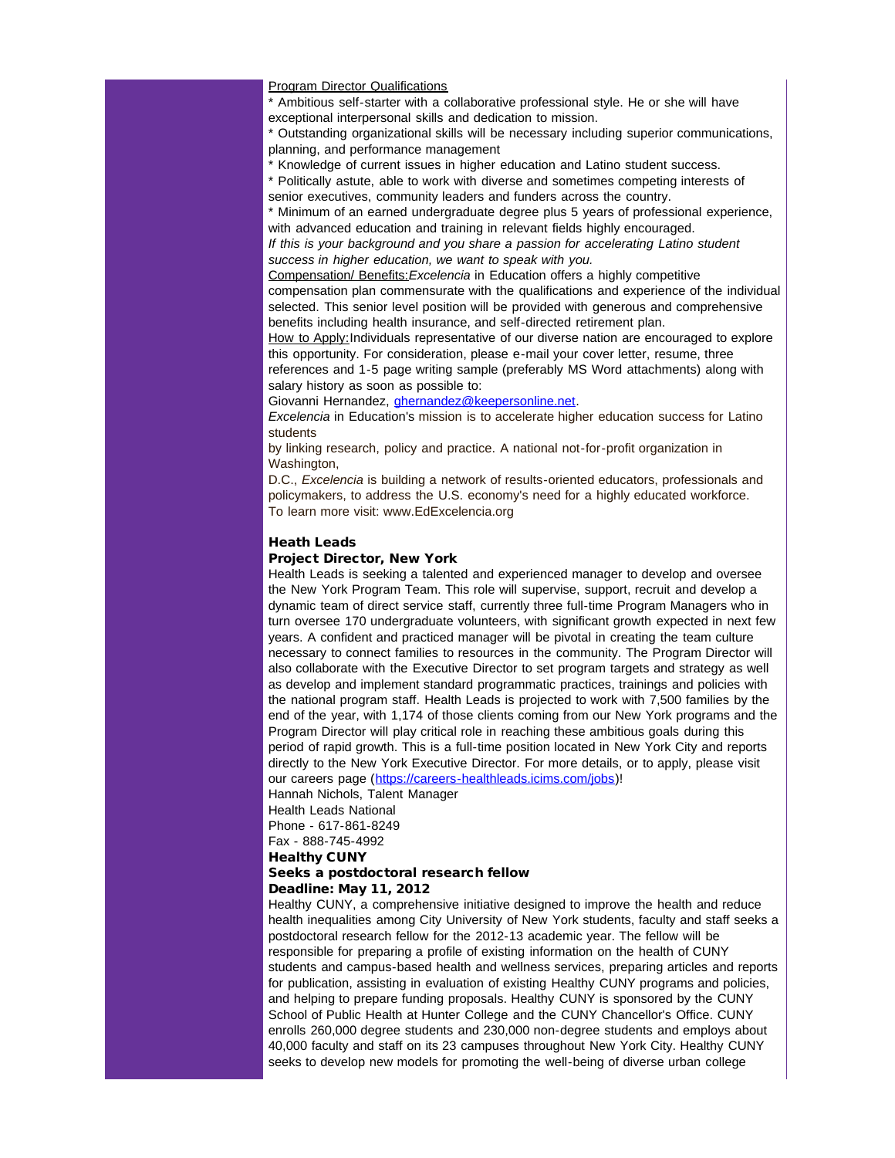#### **Program Director Qualifications**

\* Ambitious self-starter with a collaborative professional style. He or she will have exceptional interpersonal skills and dedication to mission.

Outstanding organizational skills will be necessary including superior communications, planning, and performance management

\* Knowledge of current issues in higher education and Latino student success.

\* Politically astute, able to work with diverse and sometimes competing interests of senior executives, community leaders and funders across the country.

\* Minimum of an earned undergraduate degree plus 5 years of professional experience, with advanced education and training in relevant fields highly encouraged.

*If this is your background and you share a passion for accelerating Latino student success in higher education, we want to speak with you.*

Compensation/ Benefits:*Excelencia* in Education offers a highly competitive compensation plan commensurate with the qualifications and experience of the individual selected. This senior level position will be provided with generous and comprehensive benefits including health insurance, and self-directed retirement plan.

How to Apply: Individuals representative of our diverse nation are encouraged to explore this opportunity. For consideration, please e-mail your cover letter, resume, three references and 1-5 page writing sample (preferably MS Word attachments) along with salary history as soon as possible to:

Giovanni Hernandez, *[ghernandez@keepersonline.net](mailto:ghernandez@keepersonline.net).* 

*Excelencia* in Education's mission is to accelerate higher education success for Latino students

by linking research, policy and practice. A national not-for-profit organization in Washington,

D.C., *Excelencia* is building a network of results-oriented educators, professionals and policymakers, to address the U.S. economy's need for a highly educated workforce. To learn more visit: www.EdExcelencia.org

#### Heath Leads

#### Project Director, New York

Health Leads is seeking a talented and experienced manager to develop and oversee the New York Program Team. This role will supervise, support, recruit and develop a dynamic team of direct service staff, currently three full-time Program Managers who in turn oversee 170 undergraduate volunteers, with significant growth expected in next few years. A confident and practiced manager will be pivotal in creating the team culture necessary to connect families to resources in the community. The Program Director will also collaborate with the Executive Director to set program targets and strategy as well as develop and implement standard programmatic practices, trainings and policies with the national program staff. Health Leads is projected to work with 7,500 families by the end of the year, with 1,174 of those clients coming from our New York programs and the Program Director will play critical role in reaching these ambitious goals during this period of rapid growth. This is a full-time position located in New York City and reports directly to the New York Executive Director. For more details, or to apply, please visit our careers page ([https://careers-healthleads.icims.com/jobs\)](http://r20.rs6.net/tn.jsp?e=001KfVOuv9ab0Qij2QZEtLmWnk1OI2gqGe4tEGRBJ9S_HfPQBWrZ80ul6O4C9BCHbr4C3uVusShlUeNv6z6AOgx8VE4UdHptxCL_Rnzkx00LFZGyzDHS25ZcCATG-6kvGIA3ISkZPXm6kw=)!

Hannah Nichols, Talent Manager

Health Leads National

Phone - 617-861-8249 Fax - 888-745-4992

Healthy CUNY

# Seeks a postdoctoral research fellow

Deadline: May 11, 2012

Healthy CUNY, a comprehensive initiative designed to improve the health and reduce health inequalities among City University of New York students, faculty and staff seeks a postdoctoral research fellow for the 2012-13 academic year. The fellow will be responsible for preparing a profile of existing information on the health of CUNY students and campus-based health and wellness services, preparing articles and reports for publication, assisting in evaluation of existing Healthy CUNY programs and policies, and helping to prepare funding proposals. Healthy CUNY is sponsored by the CUNY School of Public Health at Hunter College and the CUNY Chancellor's Office. CUNY enrolls 260,000 degree students and 230,000 non-degree students and employs about 40,000 faculty and staff on its 23 campuses throughout New York City. Healthy CUNY seeks to develop new models for promoting the well-being of diverse urban college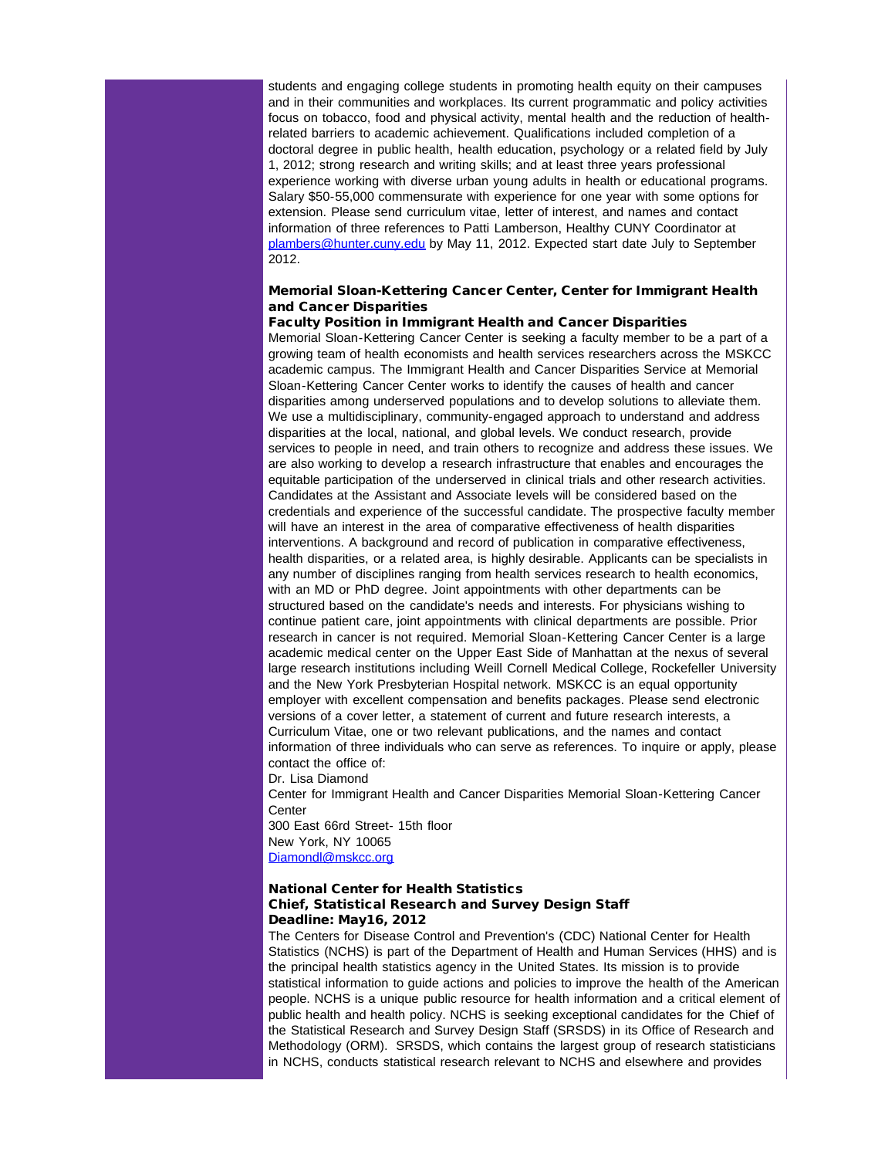students and engaging college students in promoting health equity on their campuses and in their communities and workplaces. Its current programmatic and policy activities focus on tobacco, food and physical activity, mental health and the reduction of healthrelated barriers to academic achievement. Qualifications included completion of a doctoral degree in public health, health education, psychology or a related field by July 1, 2012; strong research and writing skills; and at least three years professional experience working with diverse urban young adults in health or educational programs. Salary \$50-55,000 commensurate with experience for one year with some options for extension. Please send curriculum vitae, letter of interest, and names and contact information of three references to Patti Lamberson, Healthy CUNY Coordinator at [plambers@hunter.cuny.edu](mailto:plambers@hunter.cuny.edu) by May 11, 2012. Expected start date July to September 2012.

## Memorial Sloan-Kettering Cancer Center, Center for Immigrant Health and Cancer Disparities

#### Faculty Position in Immigrant Health and Cancer Disparities Memorial Sloan-Kettering Cancer Center is seeking a faculty member to be a part of a growing team of health economists and health services researchers across the MSKCC academic campus. The Immigrant Health and Cancer Disparities Service at Memorial Sloan-Kettering Cancer Center works to identify the causes of health and cancer disparities among underserved populations and to develop solutions to alleviate them. We use a multidisciplinary, community-engaged approach to understand and address disparities at the local, national, and global levels. We conduct research, provide services to people in need, and train others to recognize and address these issues. We are also working to develop a research infrastructure that enables and encourages the equitable participation of the underserved in clinical trials and other research activities. Candidates at the Assistant and Associate levels will be considered based on the credentials and experience of the successful candidate. The prospective faculty member will have an interest in the area of comparative effectiveness of health disparities interventions. A background and record of publication in comparative effectiveness, health disparities, or a related area, is highly desirable. Applicants can be specialists in any number of disciplines ranging from health services research to health economics, with an MD or PhD degree. Joint appointments with other departments can be structured based on the candidate's needs and interests. For physicians wishing to continue patient care, joint appointments with clinical departments are possible. Prior research in cancer is not required. Memorial Sloan-Kettering Cancer Center is a large academic medical center on the Upper East Side of Manhattan at the nexus of several large research institutions including Weill Cornell Medical College, Rockefeller University and the New York Presbyterian Hospital network. MSKCC is an equal opportunity employer with excellent compensation and benefits packages. Please send electronic versions of a cover letter, a statement of current and future research interests, a Curriculum Vitae, one or two relevant publications, and the names and contact information of three individuals who can serve as references. To inquire or apply, please contact the office of:

Dr. Lisa Diamond

Center for Immigrant Health and Cancer Disparities Memorial Sloan-Kettering Cancer **Center** 

300 East 66rd Street- 15th floor New York, NY 10065 [Diamondl@mskcc.org](mailto:Diamondl@mskcc.org)

#### National Center for Health Statistics Chief, Statistical Research and Survey Design Staff Deadline: May16, 2012

The Centers for Disease Control and Prevention's (CDC) National Center for Health Statistics (NCHS) is part of the Department of Health and Human Services (HHS) and is the principal health statistics agency in the United States. Its mission is to provide statistical information to guide actions and policies to improve the health of the American people. NCHS is a unique public resource for health information and a critical element of public health and health policy. NCHS is seeking exceptional candidates for the Chief of the Statistical Research and Survey Design Staff (SRSDS) in its Office of Research and Methodology (ORM). SRSDS, which contains the largest group of research statisticians in NCHS, conducts statistical research relevant to NCHS and elsewhere and provides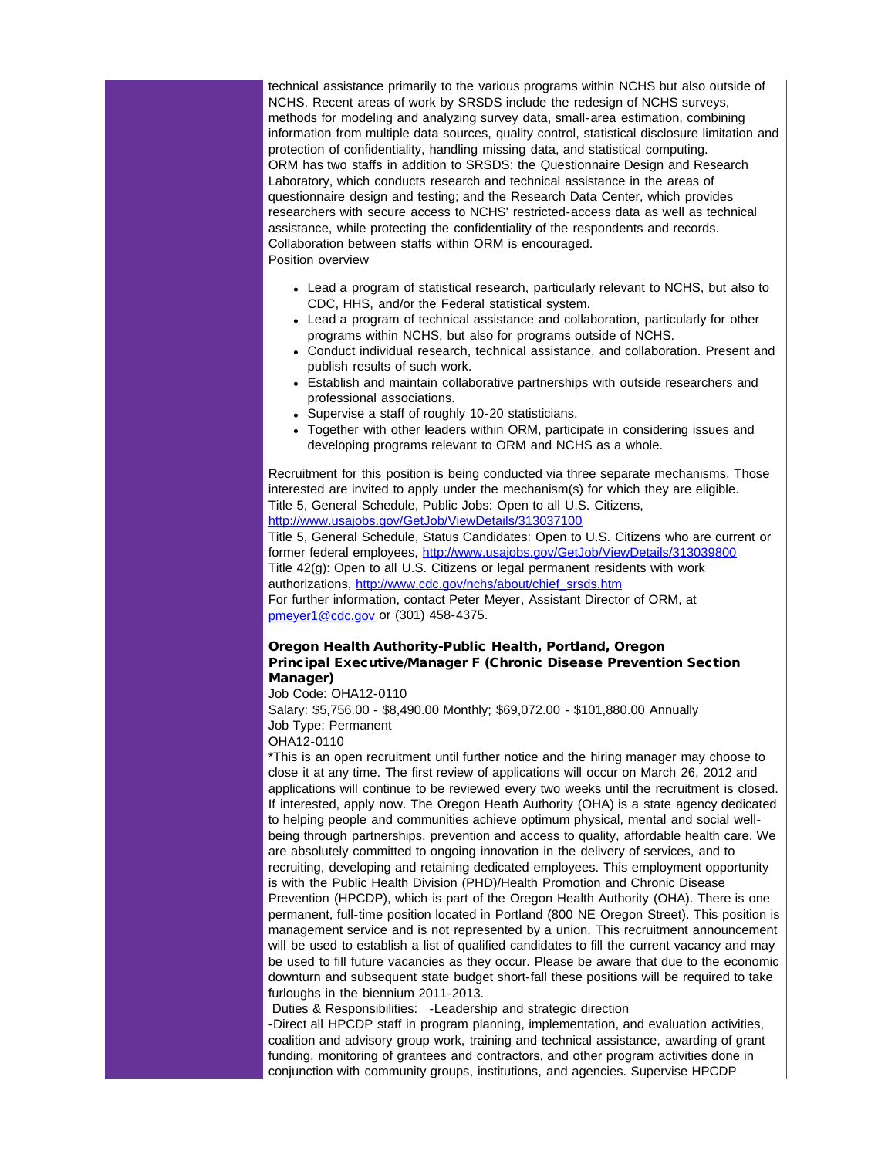technical assistance primarily to the various programs within NCHS but also outside of NCHS. Recent areas of work by SRSDS include the redesign of NCHS surveys, methods for modeling and analyzing survey data, small-area estimation, combining information from multiple data sources, quality control, statistical disclosure limitation and protection of confidentiality, handling missing data, and statistical computing. ORM has two staffs in addition to SRSDS: the Questionnaire Design and Research Laboratory, which conducts research and technical assistance in the areas of questionnaire design and testing; and the Research Data Center, which provides researchers with secure access to NCHS' restricted-access data as well as technical assistance, while protecting the confidentiality of the respondents and records. Collaboration between staffs within ORM is encouraged. Position overview

- Lead a program of statistical research, particularly relevant to NCHS, but also to CDC, HHS, and/or the Federal statistical system.
- Lead a program of technical assistance and collaboration, particularly for other programs within NCHS, but also for programs outside of NCHS.
- Conduct individual research, technical assistance, and collaboration. Present and publish results of such work.
- Establish and maintain collaborative partnerships with outside researchers and professional associations.
- Supervise a staff of roughly 10-20 statisticians.
- Together with other leaders within ORM, participate in considering issues and developing programs relevant to ORM and NCHS as a whole.

Recruitment for this position is being conducted via three separate mechanisms. Those interested are invited to apply under the mechanism(s) for which they are eligible. Title 5, General Schedule, Public Jobs: Open to all U.S. Citizens, [http://www.usajobs.gov/GetJob/ViewDetails/313037100](http://r20.rs6.net/tn.jsp?e=001KfVOuv9ab0SJ7vWeTxcIachyKWQWp7FxZL_9nSNQ9MI9JRprtfEYXHtXufhuFKrh4YjeZkKA6BmVysgRsQhcVYh95kR1qUcaN1TxIayTlk52ba63wz7oNdOG8UdlpA3i1i3_XFHEmhZB5IvonC31Jw==)

Title 5, General Schedule, Status Candidates: Open to U.S. Citizens who are current or former federal employees, [http://www.usajobs.gov/GetJob/ViewDetails/313039800](http://r20.rs6.net/tn.jsp?e=001KfVOuv9ab0QkrNC_mmapSMCpzSqsP5qu4M-KkCC3J5SK5Md4jAsHV9zcp_pZ_Ue3jtxBCLe6rUWqvnNdPBPXe6m4THPpNAyZRF1FIT0LBTP72EPwSWzBWdxmidf5R5nGfjjho8MF4jxKfB8QlxGZag==) Title 42(g): Open to all U.S. Citizens or legal permanent residents with work authorizations, [http://www.cdc.gov/nchs/about/chief\\_srsds.htm](http://r20.rs6.net/tn.jsp?e=001KfVOuv9ab0TUf8miTecRyC1tx9lbWl8u7DF1ryFOPjiYQ_xcM_BgGUZavRVgDL-bvD19M-VdrNKOk5iyibeNlu1H2YNpR1S8iVRQql2D5echo6prEj7xUe2gbLJx3G-DxPKOxGdpCcHXn2kZ15GN-Q==) For further information, contact Peter Meyer, Assistant Director of ORM, at [pmeyer1@cdc.gov](mailto:pmeyer1@cdc.gov) or (301) 458-4375.

#### Oregon Health Authority-Public Health, Portland, Oregon Principal Executive/Manager F (Chronic Disease Prevention Section Manager)

Job Code: OHA12-0110

Salary: \$5,756.00 - \$8,490.00 Monthly; \$69,072.00 - \$101,880.00 Annually Job Type: Permanent

OHA12-0110

\*This is an open recruitment until further notice and the hiring manager may choose to close it at any time. The first review of applications will occur on March 26, 2012 and applications will continue to be reviewed every two weeks until the recruitment is closed. If interested, apply now. The Oregon Heath Authority (OHA) is a state agency dedicated to helping people and communities achieve optimum physical, mental and social wellbeing through partnerships, prevention and access to quality, affordable health care. We are absolutely committed to ongoing innovation in the delivery of services, and to recruiting, developing and retaining dedicated employees. This employment opportunity is with the Public Health Division (PHD)/Health Promotion and Chronic Disease Prevention (HPCDP), which is part of the Oregon Health Authority (OHA). There is one permanent, full-time position located in Portland (800 NE Oregon Street). This position is management service and is not represented by a union. This recruitment announcement will be used to establish a list of qualified candidates to fill the current vacancy and may be used to fill future vacancies as they occur. Please be aware that due to the economic downturn and subsequent state budget short-fall these positions will be required to take furloughs in the biennium 2011-2013.

Duties & Responsibilities: - Leadership and strategic direction

-Direct all HPCDP staff in program planning, implementation, and evaluation activities, coalition and advisory group work, training and technical assistance, awarding of grant funding, monitoring of grantees and contractors, and other program activities done in conjunction with community groups, institutions, and agencies. Supervise HPCDP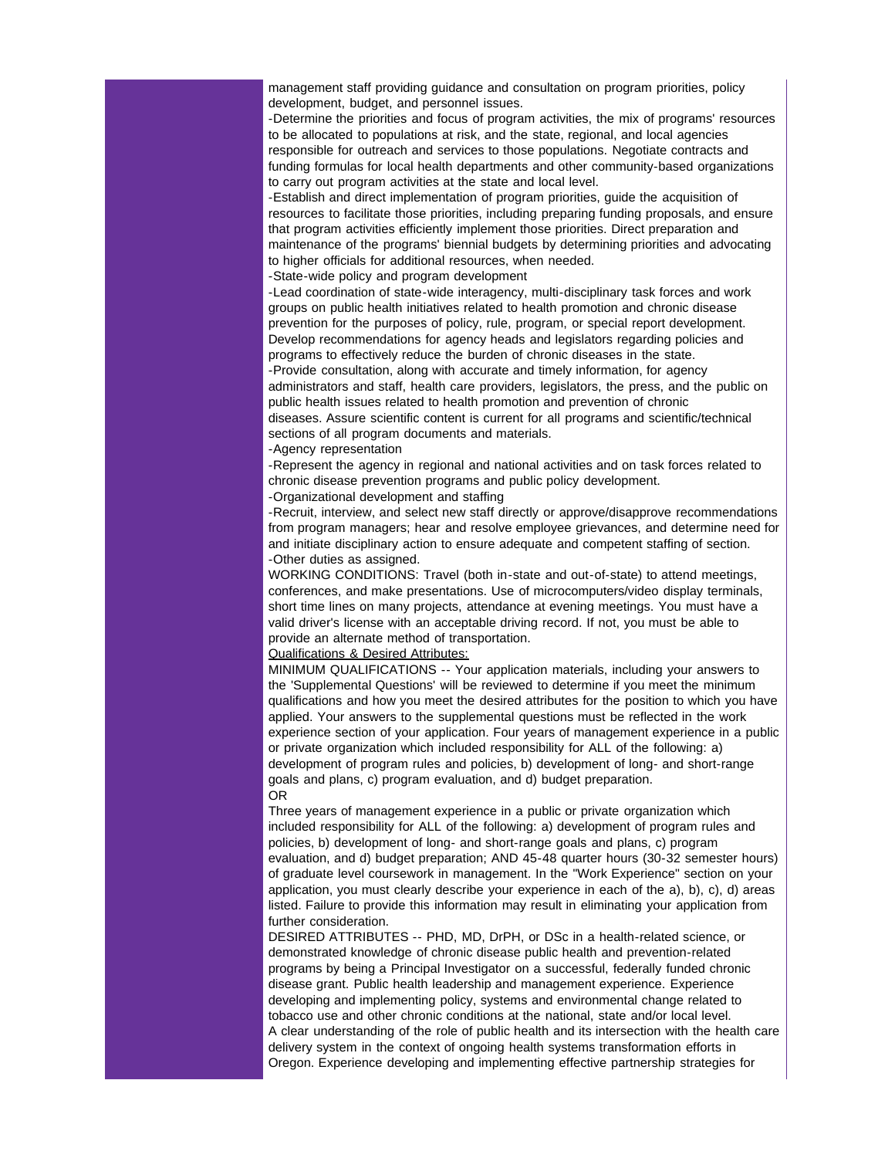management staff providing guidance and consultation on program priorities, policy development, budget, and personnel issues.

-Determine the priorities and focus of program activities, the mix of programs' resources to be allocated to populations at risk, and the state, regional, and local agencies responsible for outreach and services to those populations. Negotiate contracts and funding formulas for local health departments and other community-based organizations to carry out program activities at the state and local level.

-Establish and direct implementation of program priorities, guide the acquisition of resources to facilitate those priorities, including preparing funding proposals, and ensure that program activities efficiently implement those priorities. Direct preparation and maintenance of the programs' biennial budgets by determining priorities and advocating to higher officials for additional resources, when needed.

-State-wide policy and program development

-Lead coordination of state-wide interagency, multi-disciplinary task forces and work groups on public health initiatives related to health promotion and chronic disease prevention for the purposes of policy, rule, program, or special report development. Develop recommendations for agency heads and legislators regarding policies and programs to effectively reduce the burden of chronic diseases in the state. -Provide consultation, along with accurate and timely information, for agency administrators and staff, health care providers, legislators, the press, and the public on public health issues related to health promotion and prevention of chronic

diseases. Assure scientific content is current for all programs and scientific/technical sections of all program documents and materials.

-Agency representation

-Represent the agency in regional and national activities and on task forces related to chronic disease prevention programs and public policy development.

-Organizational development and staffing

-Recruit, interview, and select new staff directly or approve/disapprove recommendations from program managers; hear and resolve employee grievances, and determine need for and initiate disciplinary action to ensure adequate and competent staffing of section. -Other duties as assigned.

WORKING CONDITIONS: Travel (both in-state and out-of-state) to attend meetings, conferences, and make presentations. Use of microcomputers/video display terminals, short time lines on many projects, attendance at evening meetings. You must have a valid driver's license with an acceptable driving record. If not, you must be able to provide an alternate method of transportation.

Qualifications & Desired Attributes:

MINIMUM QUALIFICATIONS -- Your application materials, including your answers to the 'Supplemental Questions' will be reviewed to determine if you meet the minimum qualifications and how you meet the desired attributes for the position to which you have applied. Your answers to the supplemental questions must be reflected in the work experience section of your application. Four years of management experience in a public or private organization which included responsibility for ALL of the following: a) development of program rules and policies, b) development of long- and short-range goals and plans, c) program evaluation, and d) budget preparation. OR

Three years of management experience in a public or private organization which included responsibility for ALL of the following: a) development of program rules and policies, b) development of long- and short-range goals and plans, c) program evaluation, and d) budget preparation; AND 45-48 quarter hours (30-32 semester hours) of graduate level coursework in management. In the "Work Experience" section on your application, you must clearly describe your experience in each of the a), b), c), d) areas listed. Failure to provide this information may result in eliminating your application from further consideration.

DESIRED ATTRIBUTES -- PHD, MD, DrPH, or DSc in a health-related science, or demonstrated knowledge of chronic disease public health and prevention-related programs by being a Principal Investigator on a successful, federally funded chronic disease grant. Public health leadership and management experience. Experience developing and implementing policy, systems and environmental change related to tobacco use and other chronic conditions at the national, state and/or local level. A clear understanding of the role of public health and its intersection with the health care delivery system in the context of ongoing health systems transformation efforts in Oregon. Experience developing and implementing effective partnership strategies for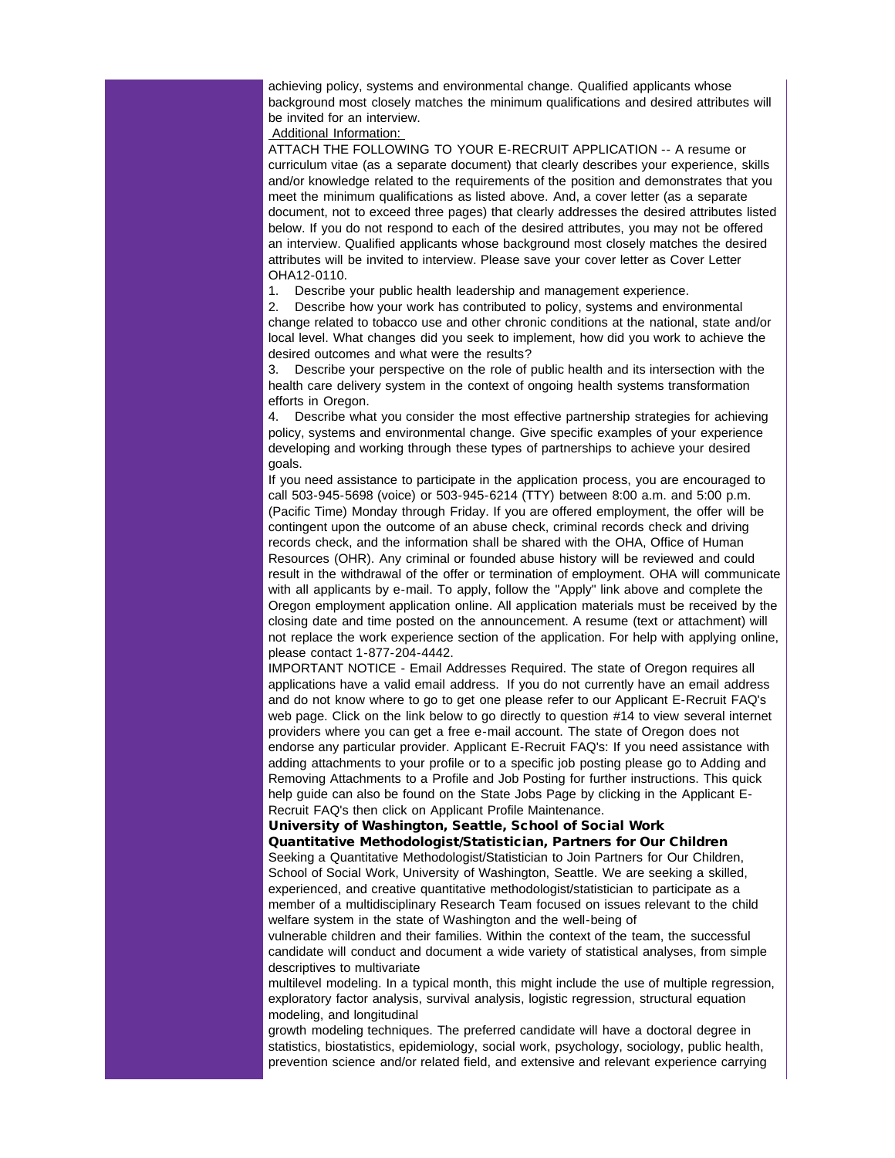achieving policy, systems and environmental change. Qualified applicants whose background most closely matches the minimum qualifications and desired attributes will be invited for an interview.

Additional Information:

ATTACH THE FOLLOWING TO YOUR E-RECRUIT APPLICATION -- A resume or curriculum vitae (as a separate document) that clearly describes your experience, skills and/or knowledge related to the requirements of the position and demonstrates that you meet the minimum qualifications as listed above. And, a cover letter (as a separate document, not to exceed three pages) that clearly addresses the desired attributes listed below. If you do not respond to each of the desired attributes, you may not be offered an interview. Qualified applicants whose background most closely matches the desired attributes will be invited to interview. Please save your cover letter as Cover Letter OHA12-0110.

1. Describe your public health leadership and management experience.

2. Describe how your work has contributed to policy, systems and environmental change related to tobacco use and other chronic conditions at the national, state and/or local level. What changes did you seek to implement, how did you work to achieve the desired outcomes and what were the results?

3. Describe your perspective on the role of public health and its intersection with the health care delivery system in the context of ongoing health systems transformation efforts in Oregon.

4. Describe what you consider the most effective partnership strategies for achieving policy, systems and environmental change. Give specific examples of your experience developing and working through these types of partnerships to achieve your desired goals.

If you need assistance to participate in the application process, you are encouraged to call 503-945-5698 (voice) or 503-945-6214 (TTY) between 8:00 a.m. and 5:00 p.m. (Pacific Time) Monday through Friday. If you are offered employment, the offer will be contingent upon the outcome of an abuse check, criminal records check and driving records check, and the information shall be shared with the OHA, Office of Human Resources (OHR). Any criminal or founded abuse history will be reviewed and could result in the withdrawal of the offer or termination of employment. OHA will communicate with all applicants by e-mail. To apply, follow the "Apply" link above and complete the Oregon employment application online. All application materials must be received by the closing date and time posted on the announcement. A resume (text or attachment) will not replace the work experience section of the application. For help with applying online, please contact 1-877-204-4442.

IMPORTANT NOTICE - Email Addresses Required. The state of Oregon requires all applications have a valid email address. If you do not currently have an email address and do not know where to go to get one please refer to our Applicant E-Recruit FAQ's web page. Click on the link below to go directly to question #14 to view several internet providers where you can get a free e-mail account. The state of Oregon does not endorse any particular provider. Applicant E-Recruit FAQ's: If you need assistance with adding attachments to your profile or to a specific job posting please go to Adding and Removing Attachments to a Profile and Job Posting for further instructions. This quick help guide can also be found on the State Jobs Page by clicking in the Applicant E-Recruit FAQ's then click on Applicant Profile Maintenance.

University of Washington, Seattle, School of Social Work

Quantitative Methodologist/Statistician, Partners for Our Children Seeking a Quantitative Methodologist/Statistician to Join Partners for Our Children, School of Social Work, University of Washington, Seattle. We are seeking a skilled, experienced, and creative quantitative methodologist/statistician to participate as a member of a multidisciplinary Research Team focused on issues relevant to the child welfare system in the state of Washington and the well-being of

vulnerable children and their families. Within the context of the team, the successful candidate will conduct and document a wide variety of statistical analyses, from simple descriptives to multivariate

multilevel modeling. In a typical month, this might include the use of multiple regression, exploratory factor analysis, survival analysis, logistic regression, structural equation modeling, and longitudinal

growth modeling techniques. The preferred candidate will have a doctoral degree in statistics, biostatistics, epidemiology, social work, psychology, sociology, public health, prevention science and/or related field, and extensive and relevant experience carrying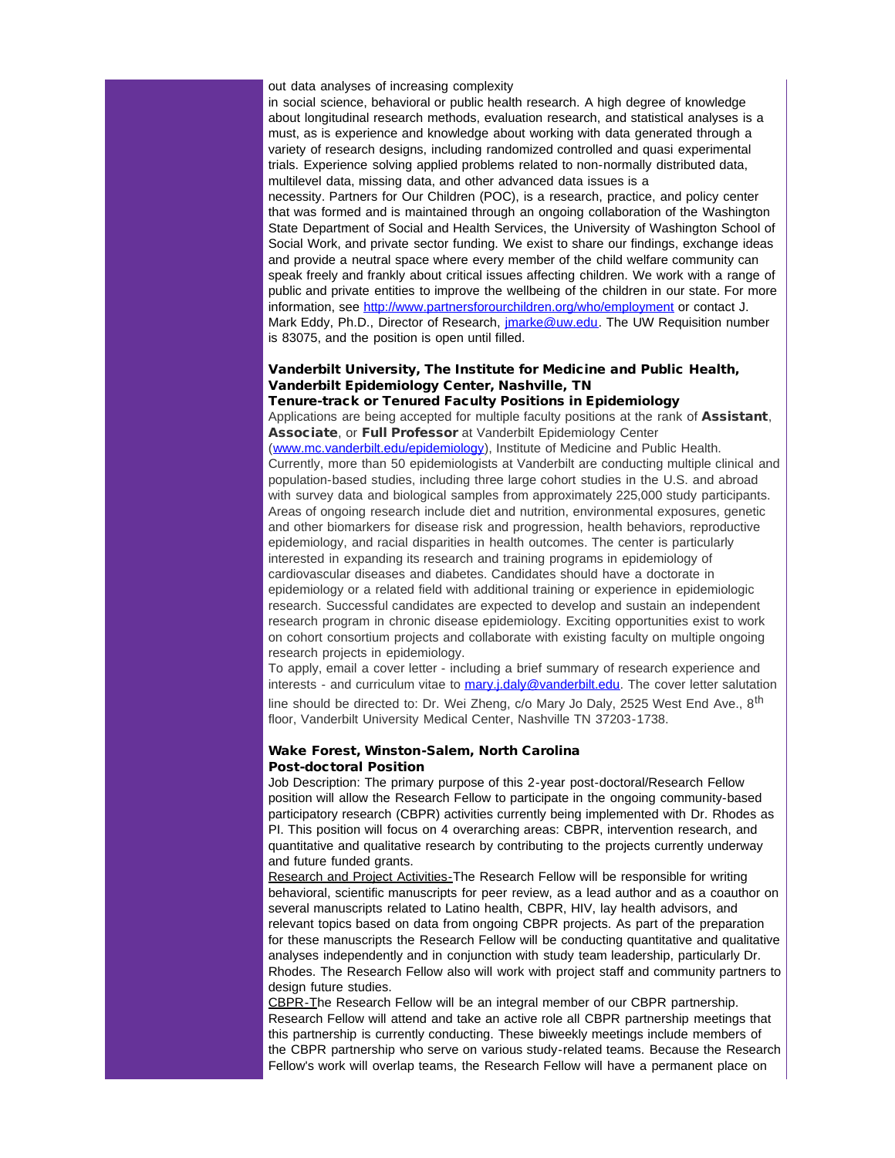#### out data analyses of increasing complexity

in social science, behavioral or public health research. A high degree of knowledge about longitudinal research methods, evaluation research, and statistical analyses is a must, as is experience and knowledge about working with data generated through a variety of research designs, including randomized controlled and quasi experimental trials. Experience solving applied problems related to non-normally distributed data, multilevel data, missing data, and other advanced data issues is a necessity. Partners for Our Children (POC), is a research, practice, and policy center that was formed and is maintained through an ongoing collaboration of the Washington State Department of Social and Health Services, the University of Washington School of Social Work, and private sector funding. We exist to share our findings, exchange ideas and provide a neutral space where every member of the child welfare community can speak freely and frankly about critical issues affecting children. We work with a range of public and private entities to improve the wellbeing of the children in our state. For more information, see [http://www.partnersforourchildren.org/who/employment](http://r20.rs6.net/tn.jsp?e=001KfVOuv9ab0Tsc37r66X15Et4ZaZzvQlicp2BBEIfvJPdsWJ-rabBpbHe44W_PwEo_NekYEysipCNbsHf1xo1azcEGD1qhP4Y1IldAK76TV2mPkj1GUw6z-xopB7fYmAkjhMJ3raO8MLJEBhY-DJHXQ==) or contact J. Mark Eddy, Ph.D., Director of Research, *imarke@uw.edu*. The UW Requisition number is 83075, and the position is open until filled.

## Vanderbilt University, The Institute for Medicine and Public Health, Vanderbilt Epidemiology Center, Nashville, TN

#### Tenure-track or Tenured Faculty Positions in Epidemiology

Applications are being accepted for multiple faculty positions at the rank of **Assistant**, Associate, or Full Professor at Vanderbilt Epidemiology Center ([www.mc.vanderbilt.edu/epidemiology\)](http://r20.rs6.net/tn.jsp?e=001KfVOuv9ab0RPWX_z_5f-Z2kVrfNBc7fzG8Hli9C9rhssEaBUZHnLoN8iT1AIW4zd4YbyFu3Y6oLuwEhtnrK-akcY5BHFxxIc1qysS3pGhRYMXk3Yt2zD7LPKUzHybpNyuyF1t5YFiwU=), Institute of Medicine and Public Health. Currently, more than 50 epidemiologists at Vanderbilt are conducting multiple clinical and population-based studies, including three large cohort studies in the U.S. and abroad with survey data and biological samples from approximately 225,000 study participants. Areas of ongoing research include diet and nutrition, environmental exposures, genetic and other biomarkers for disease risk and progression, health behaviors, reproductive epidemiology, and racial disparities in health outcomes. The center is particularly interested in expanding its research and training programs in epidemiology of cardiovascular diseases and diabetes. Candidates should have a doctorate in epidemiology or a related field with additional training or experience in epidemiologic research. Successful candidates are expected to develop and sustain an independent research program in chronic disease epidemiology. Exciting opportunities exist to work on cohort consortium projects and collaborate with existing faculty on multiple ongoing research projects in epidemiology.

To apply, email a cover letter - including a brief summary of research experience and interests - and curriculum vitae to [mary.j.daly@vanderbilt.edu](mailto:mary.j.daly@vanderbilt.edu). The cover letter salutation line should be directed to: Dr. Wei Zheng, c/o Mary Jo Daly, 2525 West End Ave., 8<sup>th</sup> floor, Vanderbilt University Medical Center, Nashville TN 37203-1738.

#### Wake Forest, Winston-Salem, North Carolina Post-doctoral Position

Job Description: The primary purpose of this 2-year post-doctoral/Research Fellow position will allow the Research Fellow to participate in the ongoing community-based participatory research (CBPR) activities currently being implemented with Dr. Rhodes as PI. This position will focus on 4 overarching areas: CBPR, intervention research, and quantitative and qualitative research by contributing to the projects currently underway and future funded grants.

Research and Project Activities-The Research Fellow will be responsible for writing behavioral, scientific manuscripts for peer review, as a lead author and as a coauthor on several manuscripts related to Latino health, CBPR, HIV, lay health advisors, and relevant topics based on data from ongoing CBPR projects. As part of the preparation for these manuscripts the Research Fellow will be conducting quantitative and qualitative analyses independently and in conjunction with study team leadership, particularly Dr. Rhodes. The Research Fellow also will work with project staff and community partners to design future studies.

CBPR-The Research Fellow will be an integral member of our CBPR partnership. Research Fellow will attend and take an active role all CBPR partnership meetings that this partnership is currently conducting. These biweekly meetings include members of the CBPR partnership who serve on various study-related teams. Because the Research Fellow's work will overlap teams, the Research Fellow will have a permanent place on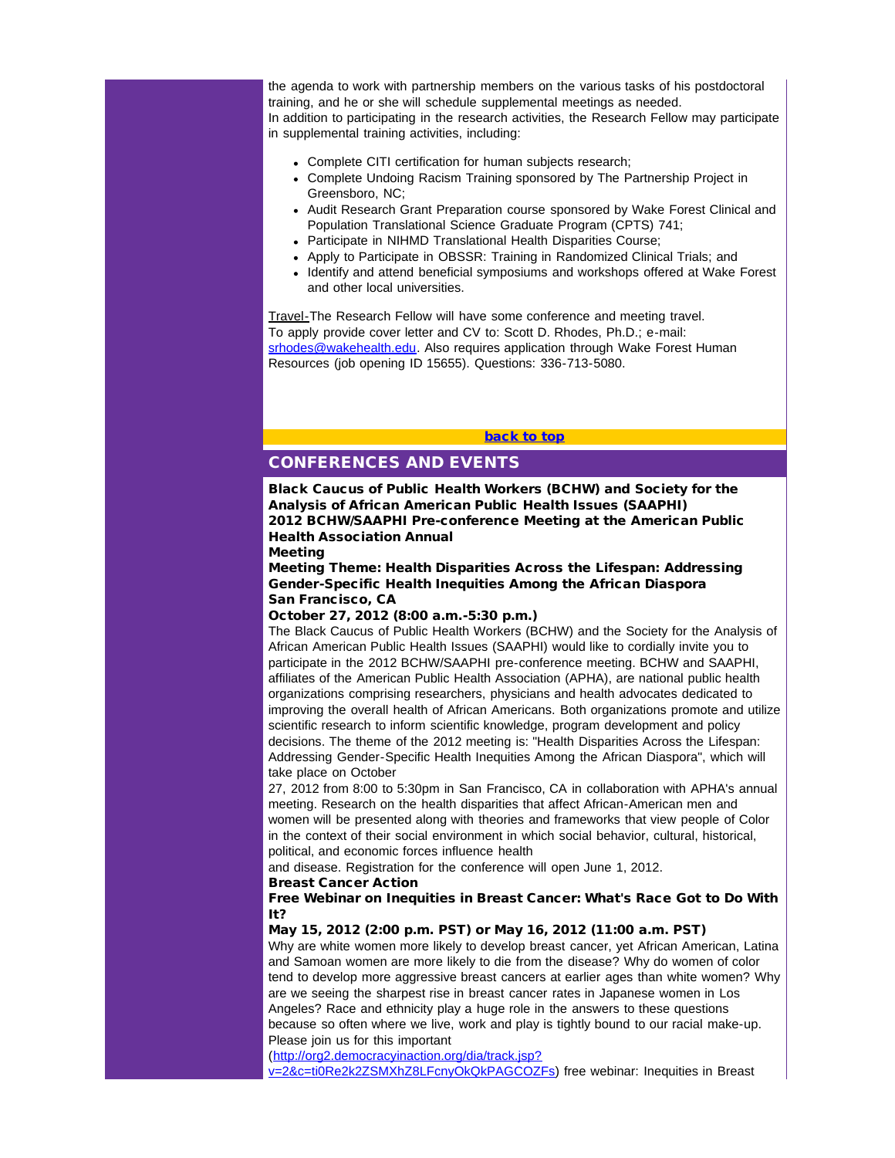the agenda to work with partnership members on the various tasks of his postdoctoral training, and he or she will schedule supplemental meetings as needed. In addition to participating in the research activities, the Research Fellow may participate in supplemental training activities, including:

- Complete CITI certification for human subjects research;
- Complete Undoing Racism Training sponsored by The Partnership Project in Greensboro, NC;
- Audit Research Grant Preparation course sponsored by Wake Forest Clinical and Population Translational Science Graduate Program (CPTS) 741;
- Participate in NIHMD Translational Health Disparities Course;
- Apply to Participate in OBSSR: Training in Randomized Clinical Trials; and
- Identify and attend beneficial symposiums and workshops offered at Wake Forest and other local universities.

<span id="page-15-0"></span>Travel-The Research Fellow will have some conference and meeting travel. To apply provide cover letter and CV to: Scott D. Rhodes, Ph.D.; e-mail: [srhodes@wakehealth.edu.](mailto:srhodes@wakehealth.edu) Also requires application through Wake Forest Human Resources (job opening ID 15655). Questions: 336-713-5080.

#### [back to top](#page-0-1)

## CONFERENCES AND EVENTS

Black Caucus of Public Health Workers (BCHW) and Society for the Analysis of African American Public Health Issues (SAAPHI) 2012 BCHW/SAAPHI Pre-conference Meeting at the American Public Health Association Annual

Meeting

Meeting Theme: Health Disparities Across the Lifespan: Addressing Gender-Specific Health Inequities Among the African Diaspora San Francisco, CA

October 27, 2012 (8:00 a.m.-5:30 p.m.)

The Black Caucus of Public Health Workers (BCHW) and the Society for the Analysis of African American Public Health Issues (SAAPHI) would like to cordially invite you to participate in the 2012 BCHW/SAAPHI pre-conference meeting. BCHW and SAAPHI, affiliates of the American Public Health Association (APHA), are national public health organizations comprising researchers, physicians and health advocates dedicated to improving the overall health of African Americans. Both organizations promote and utilize scientific research to inform scientific knowledge, program development and policy decisions. The theme of the 2012 meeting is: "Health Disparities Across the Lifespan: Addressing Gender-Specific Health Inequities Among the African Diaspora", which will take place on October

27, 2012 from 8:00 to 5:30pm in San Francisco, CA in collaboration with APHA's annual meeting. Research on the health disparities that affect African-American men and women will be presented along with theories and frameworks that view people of Color in the context of their social environment in which social behavior, cultural, historical, political, and economic forces influence health

and disease. Registration for the conference will open June 1, 2012.

#### Breast Cancer Action

Free Webinar on Inequities in Breast Cancer: What's Race Got to Do With It?

May 15, 2012 (2:00 p.m. PST) or May 16, 2012 (11:00 a.m. PST)

Why are white women more likely to develop breast cancer, yet African American, Latina and Samoan women are more likely to die from the disease? Why do women of color tend to develop more aggressive breast cancers at earlier ages than white women? Why are we seeing the sharpest rise in breast cancer rates in Japanese women in Los Angeles? Race and ethnicity play a huge role in the answers to these questions because so often where we live, work and play is tightly bound to our racial make-up. Please join us for this important

([http://org2.democracyinaction.org/dia/track.jsp?](http://r20.rs6.net/tn.jsp?e=001KfVOuv9ab0QZnjQaold6knUXILS_CFVx_3r3CSliAErQV7OReRDeRf2U5YtQpWIGwRxgmQGQgofAzsrRzp-XbzR63kIQ2TCgFM1bR2pP1XXbJy5re5EmLe1ahRCeKpyF5b4M1JmCUE8AxSW7LwXlGc4k257FEqinTls4kkGegYUkL7-V83lgDgpz4sh3uDMsPF9jF3RtMD8=)

[v=2&c=ti0Re2k2ZSMXhZ8LFcnyOkQkPAGCOZFs\)](http://r20.rs6.net/tn.jsp?e=001KfVOuv9ab0QZnjQaold6knUXILS_CFVx_3r3CSliAErQV7OReRDeRf2U5YtQpWIGwRxgmQGQgofAzsrRzp-XbzR63kIQ2TCgFM1bR2pP1XXbJy5re5EmLe1ahRCeKpyF5b4M1JmCUE8AxSW7LwXlGc4k257FEqinTls4kkGegYUkL7-V83lgDgpz4sh3uDMsPF9jF3RtMD8=) free webinar: Inequities in Breast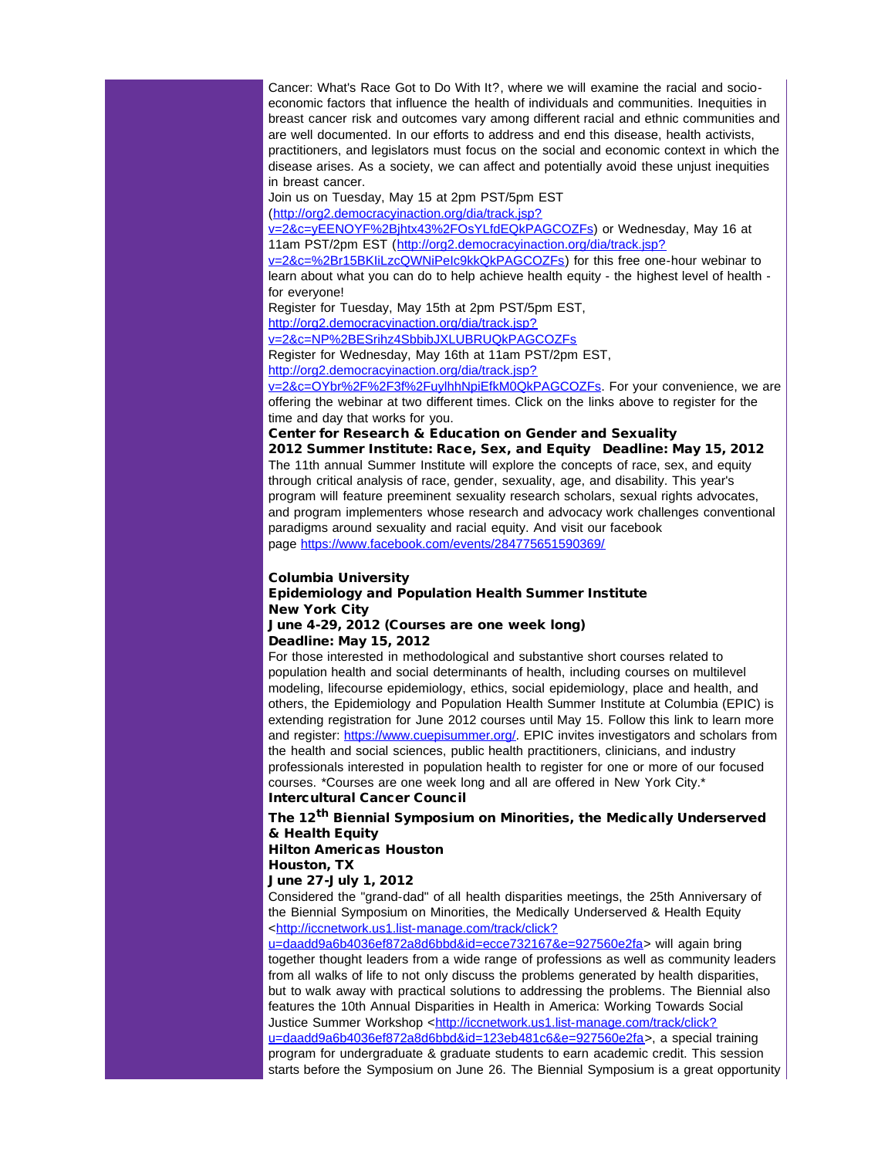Cancer: What's Race Got to Do With It?, where we will examine the racial and socioeconomic factors that influence the health of individuals and communities. Inequities in breast cancer risk and outcomes vary among different racial and ethnic communities and are well documented. In our efforts to address and end this disease, health activists, practitioners, and legislators must focus on the social and economic context in which the disease arises. As a society, we can affect and potentially avoid these unjust inequities in breast cancer.

Join us on Tuesday, May 15 at 2pm PST/5pm EST

([http://org2.democracyinaction.org/dia/track.jsp?](http://r20.rs6.net/tn.jsp?e=001KfVOuv9ab0RDUo6EkSxjicNoR8VFaqiQcjoMWinHe0BdQ3oN20SHOMVafflpX8E4uuB0U5ID3DXVopkTu6xnErxsHt9dDoQTZyeUdyItQFn1SBa42erCOglu0LKF8qiVJ23z45PvfQ6xwzUzohN3Y_am6D4OiDHB03joRmRnkeIss1dD_XigQ2YCJ_RcQAbo7HU6_35ACTPB77SqObeeDw==)

[v=2&c=yEENOYF%2Bjhtx43%2FOsYLfdEQkPAGCOZFs\)](http://r20.rs6.net/tn.jsp?e=001KfVOuv9ab0RDUo6EkSxjicNoR8VFaqiQcjoMWinHe0BdQ3oN20SHOMVafflpX8E4uuB0U5ID3DXVopkTu6xnErxsHt9dDoQTZyeUdyItQFn1SBa42erCOglu0LKF8qiVJ23z45PvfQ6xwzUzohN3Y_am6D4OiDHB03joRmRnkeIss1dD_XigQ2YCJ_RcQAbo7HU6_35ACTPB77SqObeeDw==) or Wednesday, May 16 at 11am PST/2pm EST ([http://org2.democracyinaction.org/dia/track.jsp?](http://r20.rs6.net/tn.jsp?e=001KfVOuv9ab0RRTpwfyGSx5OhHGcCnliYU6zjkiyS6749lMz9mB8WHWIeHSpPafA85HRkjhgnd2d8Pq13QycSrL6v9bbeo0RjH6P-LcqCbUbOhvXllMSteR-q-4FZNeIAk_CrVMdbgQm1m7wsxLKg9M9KB6LE-B7LVxLh8IZHRCwKNvR7XLVlhn_gGEzKP-rV4pEI84xD7xqwlXhBJMUkMrw==)

[v=2&c=%2Br15BKIiLzcQWNiPeIc9kkQkPAGCOZFs\)](http://r20.rs6.net/tn.jsp?e=001KfVOuv9ab0RRTpwfyGSx5OhHGcCnliYU6zjkiyS6749lMz9mB8WHWIeHSpPafA85HRkjhgnd2d8Pq13QycSrL6v9bbeo0RjH6P-LcqCbUbOhvXllMSteR-q-4FZNeIAk_CrVMdbgQm1m7wsxLKg9M9KB6LE-B7LVxLh8IZHRCwKNvR7XLVlhn_gGEzKP-rV4pEI84xD7xqwlXhBJMUkMrw==) for this free one-hour webinar to learn about what you can do to help achieve health equity - the highest level of health for everyone!

Register for Tuesday, May 15th at 2pm PST/5pm EST,

[http://org2.democracyinaction.org/dia/track.jsp?](http://r20.rs6.net/tn.jsp?e=001KfVOuv9ab0QRrFRN0xCiMl-ECoQfc4Ap5oY2hWbBbjlIgXA_hzG1fpQOk7rUciAMv8Aq_I8N98WD3XVKPW8xnACCjK4OyZXXcJppAEr7TqOgH5ZrtTgxtxrOPLlK2yJ6Q49CWtB9GefVOuHye3XNpV_gwNBFaMLPGZaHBbS8X-eRoT8XlMFb57tcg3scFYkF0O8GYCu7sJEDgwITLnXaZQ==)

[v=2&c=NP%2BESrihz4SbbibJXLUBRUQkPAGCOZFs](http://r20.rs6.net/tn.jsp?e=001KfVOuv9ab0QRrFRN0xCiMl-ECoQfc4Ap5oY2hWbBbjlIgXA_hzG1fpQOk7rUciAMv8Aq_I8N98WD3XVKPW8xnACCjK4OyZXXcJppAEr7TqOgH5ZrtTgxtxrOPLlK2yJ6Q49CWtB9GefVOuHye3XNpV_gwNBFaMLPGZaHBbS8X-eRoT8XlMFb57tcg3scFYkF0O8GYCu7sJEDgwITLnXaZQ==)

Register for Wednesday, May 16th at 11am PST/2pm EST, [http://org2.democracyinaction.org/dia/track.jsp?](http://r20.rs6.net/tn.jsp?e=001KfVOuv9ab0RW2-82NUkRMuymLs0kKf90259lXKWvayn3NtDQXaBDQ1wnqaRunx_9Q6vafhX2OjIyDgw6jkqr5y7m1ZAx5y3x0acMsDMqmDsE7rKI9gjVAkcKGhzp13gn75rcqG3ifkGhdiPiTaxyEU05D6vv7wFv5sWC1rDO9ybFEXLJe7QJDXlVshLkAOh7y7iBVVJS7VWxL33QGXxPn6GkrksvBGJ3)

[v=2&c=OYbr%2F%2F3f%2FuylhhNpiEfkM0QkPAGCOZFs.](http://r20.rs6.net/tn.jsp?e=001KfVOuv9ab0RW2-82NUkRMuymLs0kKf90259lXKWvayn3NtDQXaBDQ1wnqaRunx_9Q6vafhX2OjIyDgw6jkqr5y7m1ZAx5y3x0acMsDMqmDsE7rKI9gjVAkcKGhzp13gn75rcqG3ifkGhdiPiTaxyEU05D6vv7wFv5sWC1rDO9ybFEXLJe7QJDXlVshLkAOh7y7iBVVJS7VWxL33QGXxPn6GkrksvBGJ3) For your convenience, we are offering the webinar at two different times. Click on the links above to register for the time and day that works for you.

Center for Research & Education on Gender and Sexuality

2012 Summer Institute: Race, Sex, and Equity Deadline: May 15, 2012 The 11th annual Summer Institute will explore the concepts of race, sex, and equity through critical analysis of race, gender, sexuality, age, and disability. This year's program will feature preeminent sexuality research scholars, sexual rights advocates, and program implementers whose research and advocacy work challenges conventional paradigms around sexuality and racial equity. And visit our facebook page [https://www.facebook.com/events/284775651590369/](http://r20.rs6.net/tn.jsp?e=001KfVOuv9ab0RTOxW3IiWI6pMyBvCNqxGx1Mx7PNxzVBT93rBdamW_001RnClJSqtkhwX-NDQCxCSDBbU8HWKiJaapfcAemFh71LBtLfgvo2wFf8ghE8HQ2jBmNXF9-dI4nnJm__jJyotoYxRp_bim_Q==)

#### Columbia University

## Epidemiology and Population Health Summer Institute New York City

#### June 4-29, 2012 (Courses are one week long) Deadline: May 15, 2012

For those interested in methodological and substantive short courses related to population health and social determinants of health, including courses on multilevel modeling, lifecourse epidemiology, ethics, social epidemiology, place and health, and others, the Epidemiology and Population Health Summer Institute at Columbia (EPIC) is extending registration for June 2012 courses until May 15. Follow this link to learn more and register: [https://www.cuepisummer.org/](http://r20.rs6.net/tn.jsp?e=001KfVOuv9ab0SlNPR1yQu7j5OseNu5vsLI0imwUC2JzbNknSy3Q8KbVUpDzAgBEqvQG37Bjz1-oSuQR-tGvkA70-IUe8CnwEtsSxPMSle6mCEBV51E26Dc9Q==). EPIC invites investigators and scholars from the health and social sciences, public health practitioners, clinicians, and industry professionals interested in population health to register for one or more of our focused courses. \*Courses are one week long and all are offered in New York City.\* Intercultural Cancer Council

The 12<sup>th</sup> Biennial Symposium on Minorities, the Medically Underserved & Health Equity

Hilton Americas Houston Houston, TX

June 27-July 1, 2012

Considered the "grand-dad" of all health disparities meetings, the 25th Anniversary of the Biennial Symposium on Minorities, the Medically Underserved & Health Equity <[http://iccnetwork.us1.list-manage.com/track/click?](http://r20.rs6.net/tn.jsp?e=001KfVOuv9ab0RM8E8xbf0iBewjHE6T_yof5HRrG8FZDJtSh3qPySPnXhgUvNEpcj6EIiw5gOJwlUU4spL-yp7zxb-Xnb2xfhobxCiCEWBGVkOhKnpTOMrkaArcP59_mQN9KPAfTirOk2FuOsUEsPvvUlpa2HJi1fwwd1oTq1Wv0nxt6Lhc4ScT8Ckn94ErD6zQQ9WF2emiIKYI1KnBWEPx5o3mE3x7SkbCqFRFTW_1frQ=)

[u=daadd9a6b4036ef872a8d6bbd&id=ecce732167&e=927560e2fa>](http://r20.rs6.net/tn.jsp?e=001KfVOuv9ab0RM8E8xbf0iBewjHE6T_yof5HRrG8FZDJtSh3qPySPnXhgUvNEpcj6EIiw5gOJwlUU4spL-yp7zxb-Xnb2xfhobxCiCEWBGVkOhKnpTOMrkaArcP59_mQN9KPAfTirOk2FuOsUEsPvvUlpa2HJi1fwwd1oTq1Wv0nxt6Lhc4ScT8Ckn94ErD6zQQ9WF2emiIKYI1KnBWEPx5o3mE3x7SkbCqFRFTW_1frQ=) will again bring together thought leaders from a wide range of professions as well as community leaders from all walks of life to not only discuss the problems generated by health disparities, but to walk away with practical solutions to addressing the problems. The Biennial also features the 10th Annual Disparities in Health in America: Working Towards Social Justice Summer Workshop <[http://iccnetwork.us1.list-manage.com/track/click?](http://r20.rs6.net/tn.jsp?e=001KfVOuv9ab0QdF38Aua-mm903Luxhi1-FUwgxbYxJGh4ZtGx0j_1fOs59w2lrToO0GgJEW7revZMdKKw2CtlU_rbcn1ewRCpPrBiaVzlfugUd508ygeHytMvb_JTcrylAG8N3Kp-jAqCcgg8GeaM1wlr3aCvxFrBKnrwganyW0lzE1j-P1qrrAUMdj1hz8OfHes51lQ-bV38AROXS9bOfVFrEgBtq05Ym6Ppi7ZV33lI=) [u=daadd9a6b4036ef872a8d6bbd&id=123eb481c6&e=927560e2fa>](http://r20.rs6.net/tn.jsp?e=001KfVOuv9ab0QdF38Aua-mm903Luxhi1-FUwgxbYxJGh4ZtGx0j_1fOs59w2lrToO0GgJEW7revZMdKKw2CtlU_rbcn1ewRCpPrBiaVzlfugUd508ygeHytMvb_JTcrylAG8N3Kp-jAqCcgg8GeaM1wlr3aCvxFrBKnrwganyW0lzE1j-P1qrrAUMdj1hz8OfHes51lQ-bV38AROXS9bOfVFrEgBtq05Ym6Ppi7ZV33lI=), a special training program for undergraduate & graduate students to earn academic credit. This session starts before the Symposium on June 26. The Biennial Symposium is a great opportunity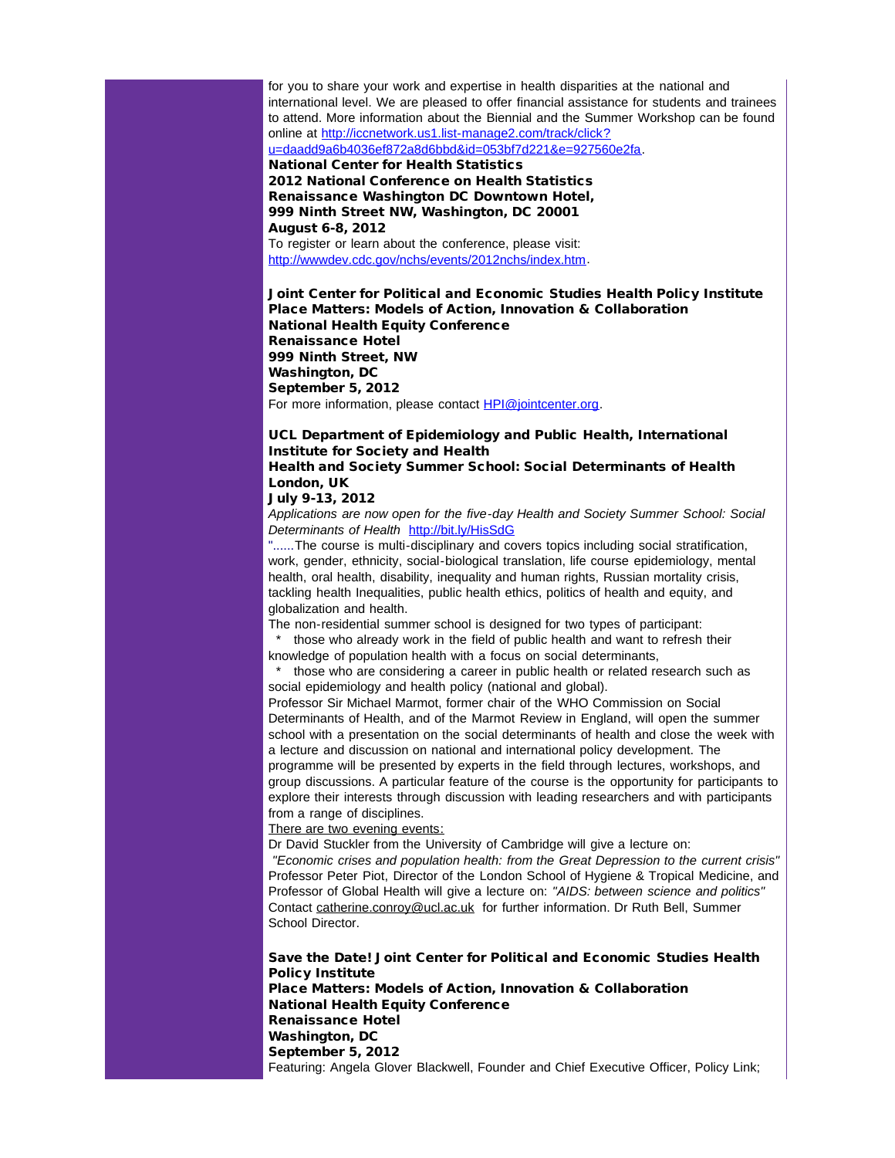for you to share your work and expertise in health disparities at the national and international level. We are pleased to offer financial assistance for students and trainees to attend. More information about the Biennial and the Summer Workshop can be found online at [http://iccnetwork.us1.list-manage2.com/track/click?](http://r20.rs6.net/tn.jsp?e=001KfVOuv9ab0Qep6BhUDHgZ7QFz_ns2SDehwhPV6eL1sUeEGA8ziyP767v5S3tBrpHEt3QBbyIpYld1LkOzfK2LbE6uMALs3x8KTwO5syCelDdm9tWst-NuOCuC0rRcyMwG_yZ-5Om8wiUkYenvbHzsqHutWa2NxGY5i0S20Z67x4ENCFWmMJeqlvujCuIFuxBglhTD1aW3BRovffcfMdBppbuFcofNcNowjAlNjU6OjA=) [u=daadd9a6b4036ef872a8d6bbd&id=053bf7d221&e=927560e2fa.](http://r20.rs6.net/tn.jsp?e=001KfVOuv9ab0Qep6BhUDHgZ7QFz_ns2SDehwhPV6eL1sUeEGA8ziyP767v5S3tBrpHEt3QBbyIpYld1LkOzfK2LbE6uMALs3x8KTwO5syCelDdm9tWst-NuOCuC0rRcyMwG_yZ-5Om8wiUkYenvbHzsqHutWa2NxGY5i0S20Z67x4ENCFWmMJeqlvujCuIFuxBglhTD1aW3BRovffcfMdBppbuFcofNcNowjAlNjU6OjA=)

National Center for Health Statistics 2012 National Conference on Health Statistics Renaissance Washington DC Downtown Hotel, 999 Ninth Street NW, Washington, DC 20001 August 6-8, 2012

To register or learn about the conference, please visit: [http://wwwdev.cdc.gov/nchs/events/2012nchs/index.htm.](http://r20.rs6.net/tn.jsp?e=001KfVOuv9ab0SzIEqwkW6QVkXGGP35QPJUzBQ7_46cZMGOkqngecPfZexCP6PBdLevbTf-Y5k_O2LYNfrWaNGyMAcrYNIA4MuqV7NGhJJsgJrSlsbT3H2kmeTZYf6sihHSPve-u1i2lFwTZ8RjjzlVJzhc-VFndy5t)

Joint Center for Political and Economic Studies Health Policy Institute Place Matters: Models of Action, Innovation & Collaboration National Health Equity Conference Renaissance Hotel 999 Ninth Street, NW Washington, DC September 5, 2012

For more information, please contact **[HPI@jointcenter.org](mailto:HPI@jointcenter.org)**.

#### UCL Department of Epidemiology and Public Health, International Institute for Society and Health Health and Society Summer School: Social Determinants of Health London, UK

## July 9-13, 2012

*Applications are now open for the five-day Health and Society Summer School: Social Determinants of Health* [http://bit.ly/HisSdG](http://r20.rs6.net/tn.jsp?e=001KfVOuv9ab0QI2A0BfLXF_P0ZpT0dsws9ctffiL5zFen4H-CAeBXHjmkHiYK9tNwtQRSNukjwND_JwpudjSY09_bFKSFo5fPqcQlt64Tr8cg=)

"......The course is multi-disciplinary and covers topics including social stratification, work, gender, ethnicity, social-biological translation, life course epidemiology, mental health, oral health, disability, inequality and human rights, Russian mortality crisis, tackling health Inequalities, public health ethics, politics of health and equity, and globalization and health.

The non-residential summer school is designed for two types of participant:

those who already work in the field of public health and want to refresh their knowledge of population health with a focus on social determinants,

those who are considering a career in public health or related research such as social epidemiology and health policy (national and global).

Professor Sir Michael Marmot, former chair of the WHO Commission on Social Determinants of Health, and of the Marmot Review in England, will open the summer school with a presentation on the social determinants of health and close the week with a lecture and discussion on national and international policy development. The programme will be presented by experts in the field through lectures, workshops, and group discussions. A particular feature of the course is the opportunity for participants to explore their interests through discussion with leading researchers and with participants from a range of disciplines.

There are two evening events:

Dr David Stuckler from the University of Cambridge will give a lecture on:

*"Economic crises and population health: from the Great Depression to the current crisis"* Professor Peter Piot, Director of the London School of Hygiene & Tropical Medicine, and Professor of Global Health will give a lecture on: *"AIDS: between science and politics"* Contact [catherine.conroy@ucl.ac.uk](mailto:catherine.conroy@ucl.ac.uk) for further information. Dr Ruth Bell, Summer School Director.

Save the Date! Joint Center for Political and Economic Studies Health Policy Institute Place Matters: Models of Action, Innovation & Collaboration National Health Equity Conference Renaissance Hotel Washington, DC September 5, 2012 Featuring: Angela Glover Blackwell, Founder and Chief Executive Officer, Policy Link;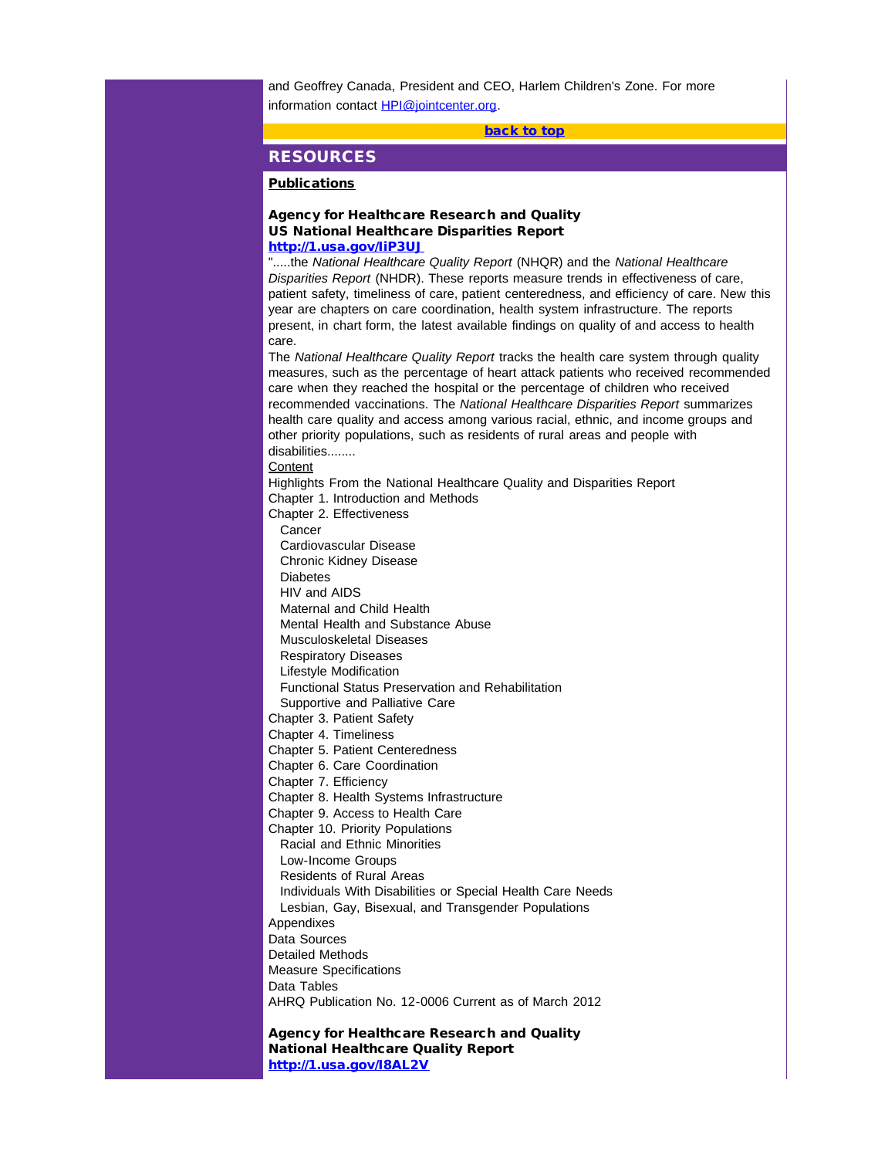<span id="page-18-0"></span>and Geoffrey Canada, President and CEO, Harlem Children's Zone. For more information contact [HPI@jointcenter.org](mailto:HPI@jointcenter.org).

[back to top](#page-0-1)

## **RESOURCES**

## **Publications**

#### Agency for Healthcare Research and Quality US National Healthcare Disparities Report [http://1.usa.gov/IiP3UJ](http://r20.rs6.net/tn.jsp?e=001KfVOuv9ab0Spqecfb0IYhqnxhjR5WVtWlcayL9KGxaozpto6yq_8cDn1KMkNefLTOCs5nN35dzIyEtUJIfVuuNhRSSIqcVx56L7P7aDYy3s=)

".....the *National Healthcare Quality Report* (NHQR) and the *National Healthcare Disparities Report* (NHDR). These reports measure trends in effectiveness of care, patient safety, timeliness of care, patient centeredness, and efficiency of care. New this year are chapters on care coordination, health system infrastructure. The reports present, in chart form, the latest available findings on quality of and access to health care.

The *National Healthcare Quality Report* tracks the health care system through quality measures, such as the percentage of heart attack patients who received recommended care when they reached the hospital or the percentage of children who received recommended vaccinations. The *National Healthcare Disparities Report* summarizes health care quality and access among various racial, ethnic, and income groups and other priority populations, such as residents of rural areas and people with disabilities........

**Content** 

Highlights From the National Healthcare Quality and Disparities Report

Chapter 1. Introduction and Methods

Chapter 2. Effectiveness

Cancer

Cardiovascular Disease

 Chronic Kidney Disease **Diabetes** 

HIV and AIDS

Maternal and Child Health

Mental Health and Substance Abuse

Musculoskeletal Diseases

Respiratory Diseases

Lifestyle Modification

Functional Status Preservation and Rehabilitation

Supportive and Palliative Care

Chapter 3. Patient Safety

Chapter 4. Timeliness

Chapter 5. Patient Centeredness

Chapter 6. Care Coordination

Chapter 7. Efficiency

Chapter 8. Health Systems Infrastructure

Chapter 9. Access to Health Care

Chapter 10. Priority Populations Racial and Ethnic Minorities

Low-Income Groups

Residents of Rural Areas

 Individuals With Disabilities or Special Health Care Needs Lesbian, Gay, Bisexual, and Transgender Populations

**Appendixes** 

Data Sources

Detailed Methods

Measure Specifications

Data Tables

AHRQ Publication No. 12-0006 Current as of March 2012

Agency for Healthcare Research and Quality National Healthcare Quality Report [http://1.usa.gov/I8AL2V](http://r20.rs6.net/tn.jsp?e=001KfVOuv9ab0TTOAiLVtNQI7G0PXkKIX8GiEL8dB0d6lZltqjeBXUB2WcLoxsgEzNn6EbwMX7pENpcoyn9lQyeYH1mUZA0HPFSSZiik9RNK4A=)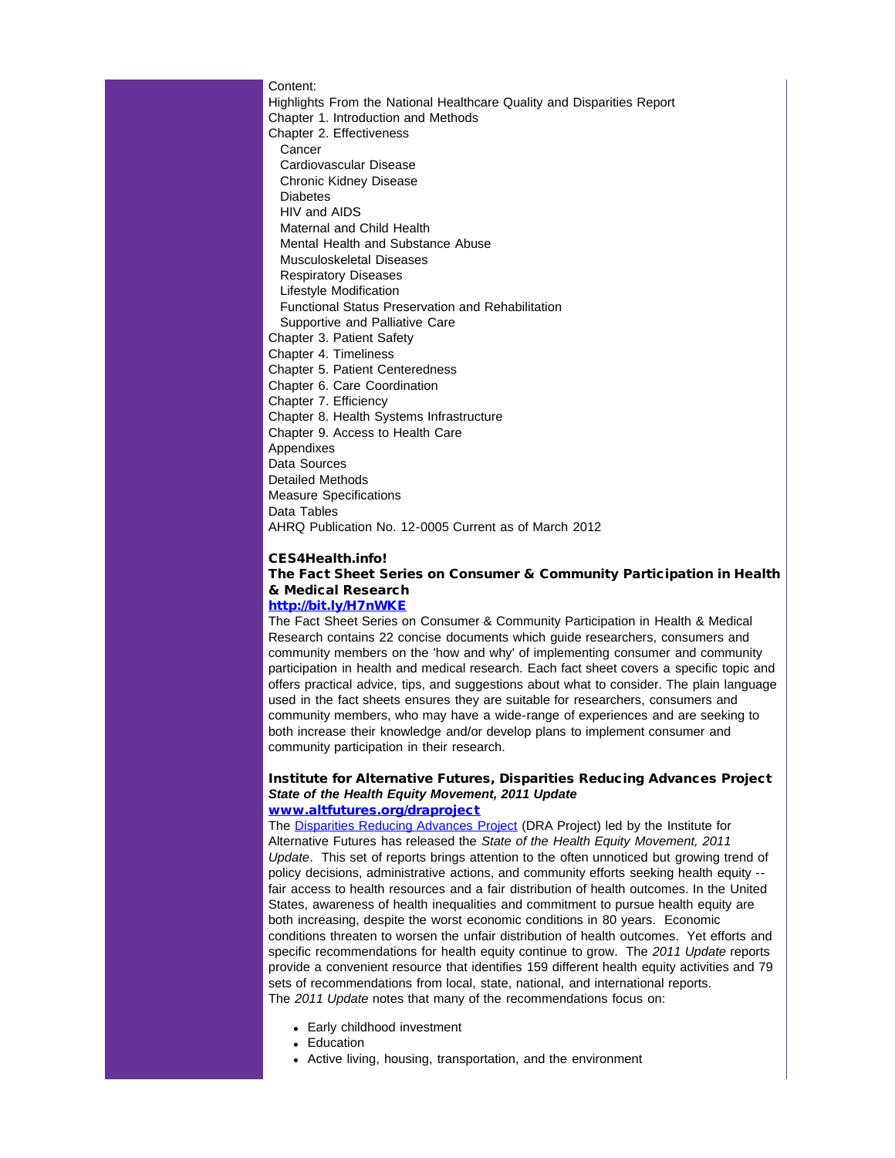Content: Highlights From the National Healthcare Quality and Disparities Report Chapter 1. Introduction and Methods Chapter 2. Effectiveness **Cancer**  Cardiovascular Disease Chronic Kidney Disease Diabetes HIV and AIDS Maternal and Child Health Mental Health and Substance Abuse Musculoskeletal Diseases Respiratory Diseases Lifestyle Modification Functional Status Preservation and Rehabilitation Supportive and Palliative Care Chapter 3. Patient Safety Chapter 4. Timeliness Chapter 5. Patient Centeredness Chapter 6. Care Coordination Chapter 7. Efficiency Chapter 8. Health Systems Infrastructure Chapter 9. Access to Health Care **Appendixes** Data Sources Detailed Methods Measure Specifications Data Tables AHRQ Publication No. 12-0005 Current as of March 2012

#### CES4Health.info!

## The Fact Sheet Series on Consumer & Community Participation in Health & Medical Research

## [http://bit.ly/H7nWKE](http://r20.rs6.net/tn.jsp?e=001KfVOuv9ab0QXKy1klvoxRCF7kY3WyoGB-SUcPWr9NfIyghrZRYR9xtJXcq1pjsKzFhgzOx8NQD3J7dV3-XjGE8-OXRIVhJWYOja8PMx16B8=)

The Fact Sheet Series on Consumer & Community Participation in Health & Medical Research contains 22 concise documents which guide researchers, consumers and community members on the 'how and why' of implementing consumer and community participation in health and medical research. Each fact sheet covers a specific topic and offers practical advice, tips, and suggestions about what to consider. The plain language used in the fact sheets ensures they are suitable for researchers, consumers and community members, who may have a wide-range of experiences and are seeking to both increase their knowledge and/or develop plans to implement consumer and community participation in their research.

#### Institute for Alternative Futures, Disparities Reducing Advances Project *State of the Health Equity Movement, 2011 Update* [www.altfutures.org/draproject](http://r20.rs6.net/tn.jsp?e=001sbE2iBQbkJOZGFQmX3Zibs8cnUwbt-IqniKLzyTfiw3mftoiwmluXeQ-P-NrRvKKh0tMSK_Wrk8P40z828e4wQUv0bwb9lqJm1L5jcT9E7aetPaAxmcKeK3JcYD5Gq0YPnMLxicREmBUOoMN4of4XQIA9CdpJUYFyvS-lwQhnVzO_LDeY_kH_Lh_o8GOSX6ADLdtwu3xGBnf_QBbrr9QsdEzdbqu9oDMwGwEYe3O4sdhuVcyKMka039if9U4WKbBwhcp4FNepuEdsHEbiZtMDIoQqlrFyMjX0moKZP2Lv66AzntyY4EctrbJXuO_JcbNoqy6aHnzvCVzFcOp0AMTQSFptWNodMUw4FZGovd1oF420ifGZ3YXqfiG5DjHq7vZRtC7dVlCA8yq6k2IAW-_s6VM4dsBhWHm)

The [Disparities Reducing Advances Project](http://r20.rs6.net/tn.jsp?e=001sbE2iBQbkJOZGFQmX3Zibs8cnUwbt-IqniKLzyTfiw3mftoiwmluXeQ-P-NrRvKKh0tMSK_Wrk8P40z828e4wQUv0bwb9lqJm1L5jcT9E7aetPaAxmcKeK3JcYD5Gq0YPnMLxicREmBUOoMN4of4XQIA9CdpJUYFyvS-lwQhnVzO_LDeY_kH_Lh_o8GOSX6ADLdtwu3xGBnf_QBbrr9QsdEzdbqu9oDMwGwEYe3O4sdhuVcyKMka039if9U4WKbBwhcp4FNepuEdsHEbiZtMDIoQqlrFyMjX0moKZP2Lv66AzntyY4EctrbJXuO_JcbNoqy6aHnzvCVzFcOp0AMTQSFptWNodMUw4FZGovd1oF420ifGZ3YXqfiG5DjHq7vZRtC7dVlCA8yq6k2IAW-_s6VM4dsBhWHm) (DRA Project) led by the Institute for Alternative Futures has released the *State of the Health Equity Movement, 2011 Update*. This set of reports brings attention to the often unnoticed but growing trend of policy decisions, administrative actions, and community efforts seeking health equity - fair access to health resources and a fair distribution of health outcomes. In the United States, awareness of health inequalities and commitment to pursue health equity are both increasing, despite the worst economic conditions in 80 years. Economic conditions threaten to worsen the unfair distribution of health outcomes. Yet efforts and specific recommendations for health equity continue to grow. The *2011 Update* reports provide a convenient resource that identifies 159 different health equity activities and 79 sets of recommendations from local, state, national, and international reports. The *2011 Update* notes that many of the recommendations focus on:

- Early childhood investment
- Education
- Active living, housing, transportation, and the environment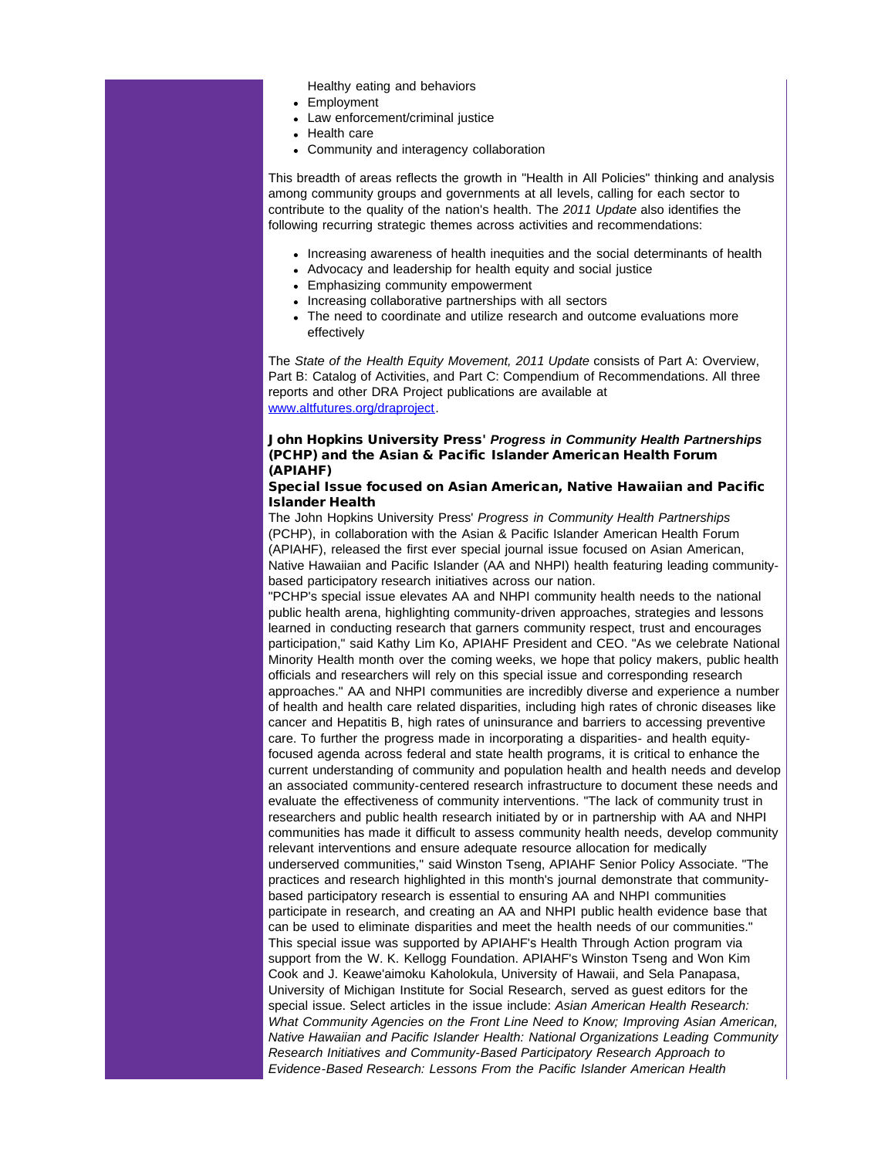Healthy eating and behaviors

- Employment
	- Law enforcement/criminal justice
	- Health care
	- Community and interagency collaboration

This breadth of areas reflects the growth in "Health in All Policies" thinking and analysis among community groups and governments at all levels, calling for each sector to contribute to the quality of the nation's health. The *2011 Update* also identifies the following recurring strategic themes across activities and recommendations:

- Increasing awareness of health inequities and the social determinants of health
- Advocacy and leadership for health equity and social justice
- Emphasizing community empowerment
- Increasing collaborative partnerships with all sectors
- The need to coordinate and utilize research and outcome evaluations more effectively

The *State of the Health Equity Movement, 2011 Update* consists of Part A: Overview, Part B: Catalog of Activities, and Part C: Compendium of Recommendations. All three reports and other DRA Project publications are available at [www.altfutures.org/draproject.](http://r20.rs6.net/tn.jsp?e=001sbE2iBQbkJOZGFQmX3Zibs8cnUwbt-IqniKLzyTfiw3mftoiwmluXeQ-P-NrRvKKh0tMSK_Wrk8P40z828e4wQUv0bwb9lqJm1L5jcT9E7aetPaAxmcKeK3JcYD5Gq0YPnMLxicREmBUOoMN4of4XQIA9CdpJUYFyvS-lwQhnVzO_LDeY_kH_Lh_o8GOSX6ADLdtwu3xGBnf_QBbrr9QsdEzdbqu9oDMwGwEYe3O4sdhuVcyKMka039if9U4WKbBwhcp4FNepuEdsHEbiZtMDIoQqlrFyMjX0moKZP2Lv66AzntyY4EctrbJXuO_JcbNoqy6aHnzvCVzFcOp0AMTQSFptWNodMUw4FZGovd1oF420ifGZ3YXqfiG5DjHq7vZRtC7dVlCA8yq6k2IAW-_s6VM4dsBhWHm)

## John Hopkins University Press' *Progress in Community Health Partnerships* (PCHP) and the Asian & Pacific Islander American Health Forum (APIAHF)

#### Special Issue focused on Asian American, Native Hawaiian and Pacific Islander Health

The John Hopkins University Press' *Progress in Community Health Partnerships* (PCHP), in collaboration with the Asian & Pacific Islander American Health Forum (APIAHF), released the first ever special journal issue focused on Asian American, Native Hawaiian and Pacific Islander (AA and NHPI) health featuring leading communitybased participatory research initiatives across our nation.

"PCHP's special issue elevates AA and NHPI community health needs to the national public health arena, highlighting community-driven approaches, strategies and lessons learned in conducting research that garners community respect, trust and encourages participation," said Kathy Lim Ko, APIAHF President and CEO. "As we celebrate National Minority Health month over the coming weeks, we hope that policy makers, public health officials and researchers will rely on this special issue and corresponding research approaches." AA and NHPI communities are incredibly diverse and experience a number of health and health care related disparities, including high rates of chronic diseases like cancer and Hepatitis B, high rates of uninsurance and barriers to accessing preventive care. To further the progress made in incorporating a disparities- and health equityfocused agenda across federal and state health programs, it is critical to enhance the current understanding of community and population health and health needs and develop an associated community-centered research infrastructure to document these needs and evaluate the effectiveness of community interventions. "The lack of community trust in researchers and public health research initiated by or in partnership with AA and NHPI communities has made it difficult to assess community health needs, develop community relevant interventions and ensure adequate resource allocation for medically underserved communities," said Winston Tseng, APIAHF Senior Policy Associate. "The practices and research highlighted in this month's journal demonstrate that communitybased participatory research is essential to ensuring AA and NHPI communities participate in research, and creating an AA and NHPI public health evidence base that can be used to eliminate disparities and meet the health needs of our communities." This special issue was supported by APIAHF's Health Through Action program via support from the W. K. Kellogg Foundation. APIAHF's Winston Tseng and Won Kim Cook and J. Keawe'aimoku Kaholokula, University of Hawaii, and Sela Panapasa, University of Michigan Institute for Social Research, served as guest editors for the special issue. Select articles in the issue include: *Asian American Health Research: What Community Agencies on the Front Line Need to Know; Improving Asian American, Native Hawaiian and Pacific Islander Health: National Organizations Leading Community Research Initiatives and Community-Based Participatory Research Approach to Evidence-Based Research: Lessons From the Pacific Islander American Health*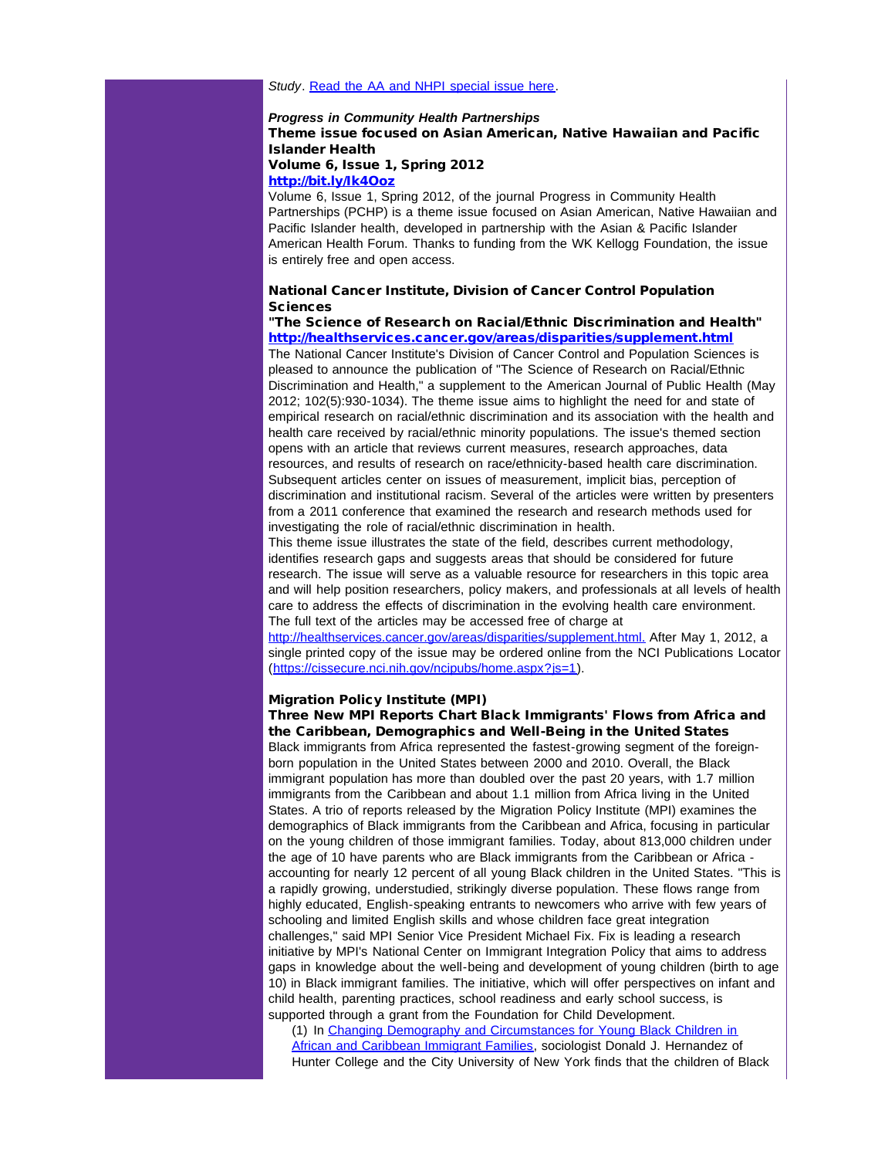#### *Study*. [Read the AA and NHPI special issue here.](http://r20.rs6.net/tn.jsp?t=u77nqxjab.0.flitqxjab.5gytkqcab.1&ts=S0765&p=http%3A%2F%2Forg2.democracyinaction.org%2Fdia%2Ftrack.jsp%3Fv%3D2%26c%3DWtAgWI20AmhJ%252BPxPa4RmEAnPOanzAzWG)

#### *Progress in Community Health Partnerships* Theme issue focused on Asian American, Native Hawaiian and Pacific Islander Health Volume 6, Issue 1, Spring 2012

[http://bit.ly/Ik4Ooz](http://r20.rs6.net/tn.jsp?t=u77nqxjab.0.ckitqxjab.5gytkqcab.1&ts=S0765&p=http%3A%2F%2Fbit.ly%2FIk4Ooz)

Volume 6, Issue 1, Spring 2012, of the journal Progress in Community Health Partnerships (PCHP) is a theme issue focused on Asian American, Native Hawaiian and Pacific Islander health, developed in partnership with the Asian & Pacific Islander American Health Forum. Thanks to funding from the WK Kellogg Foundation, the issue is entirely free and open access.

## National Cancer Institute, Division of Cancer Control Population Sciences

"The Science of Research on Racial/Ethnic Discrimination and Health" [http://healthservices.cancer.gov/areas/disparities/supplement.html](http://r20.rs6.net/tn.jsp?t=u77nqxjab.0.glitqxjab.5gytkqcab.1&ts=S0765&p=http%3A%2F%2Fhealthservices.cancer.gov%2Fareas%2Fdisparities%2Fsupplement.html) The National Cancer Institute's Division of Cancer Control and Population Sciences is pleased to announce the publication of "The Science of Research on Racial/Ethnic Discrimination and Health," a supplement to the American Journal of Public Health (May

2012; 102(5):930-1034). The theme issue aims to highlight the need for and state of empirical research on racial/ethnic discrimination and its association with the health and health care received by racial/ethnic minority populations. The issue's themed section opens with an article that reviews current measures, research approaches, data resources, and results of research on race/ethnicity-based health care discrimination. Subsequent articles center on issues of measurement, implicit bias, perception of discrimination and institutional racism. Several of the articles were written by presenters from a 2011 conference that examined the research and research methods used for investigating the role of racial/ethnic discrimination in health.

This theme issue illustrates the state of the field, describes current methodology, identifies research gaps and suggests areas that should be considered for future research. The issue will serve as a valuable resource for researchers in this topic area and will help position researchers, policy makers, and professionals at all levels of health care to address the effects of discrimination in the evolving health care environment. The full text of the articles may be accessed free of charge at

[http://healthservices.cancer.gov/areas/disparities/supplement.html.](http://r20.rs6.net/tn.jsp?t=u77nqxjab.0.hlitqxjab.5gytkqcab.1&ts=S0765&p=http%3A%2F%2Fhealthservices.cancer.gov%2Fareas%2Fdisparities%2Fsupplement.html.) After May 1, 2012, a single printed copy of the issue may be ordered online from the NCI Publications Locator ([https://cissecure.nci.nih.gov/ncipubs/home.aspx?js=1\)](http://r20.rs6.net/tn.jsp?t=u77nqxjab.0.ilitqxjab.5gytkqcab.1&ts=S0765&p=https%3A%2F%2Fcissecure.nci.nih.gov%2Fncipubs%2Fhome.aspx%3Fjs%3D1).

#### Migration Policy Institute (MPI)

Three New MPI Reports Chart Black Immigrants' Flows from Africa and the Caribbean, Demographics and Well-Being in the United States Black immigrants from Africa represented the fastest-growing segment of the foreign-

born population in the United States between 2000 and 2010. Overall, the Black immigrant population has more than doubled over the past 20 years, with 1.7 million immigrants from the Caribbean and about 1.1 million from Africa living in the United States. A trio of reports released by the Migration Policy Institute (MPI) examines the demographics of Black immigrants from the Caribbean and Africa, focusing in particular on the young children of those immigrant families. Today, about 813,000 children under the age of 10 have parents who are Black immigrants from the Caribbean or Africa accounting for nearly 12 percent of all young Black children in the United States. "This is a rapidly growing, understudied, strikingly diverse population. These flows range from highly educated, English-speaking entrants to newcomers who arrive with few years of schooling and limited English skills and whose children face great integration challenges," said MPI Senior Vice President Michael Fix. Fix is leading a research initiative by MPI's National Center on Immigrant Integration Policy that aims to address gaps in knowledge about the well-being and development of young children (birth to age 10) in Black immigrant families. The initiative, which will offer perspectives on infant and child health, parenting practices, school readiness and early school success, is supported through a grant from the Foundation for Child Development.

(1) In [Changing Demography and Circumstances for Young Black Children in](http://r20.rs6.net/tn.jsp?t=u77nqxjab.0.llitqxjab.5gytkqcab.1&ts=S0765&p=http%3A%2F%2Fmy.migrationpolicy.org%2Fsalsa%2Ftrack.jsp%3Fv%3D2%26c%3DItYYw3rfqfEu7iafcV4g1pmW%252BGzD3Qp%252B) [African and Caribbean Immigrant Families](http://r20.rs6.net/tn.jsp?t=u77nqxjab.0.llitqxjab.5gytkqcab.1&ts=S0765&p=http%3A%2F%2Fmy.migrationpolicy.org%2Fsalsa%2Ftrack.jsp%3Fv%3D2%26c%3DItYYw3rfqfEu7iafcV4g1pmW%252BGzD3Qp%252B), sociologist Donald J. Hernandez of Hunter College and the City University of New York finds that the children of Black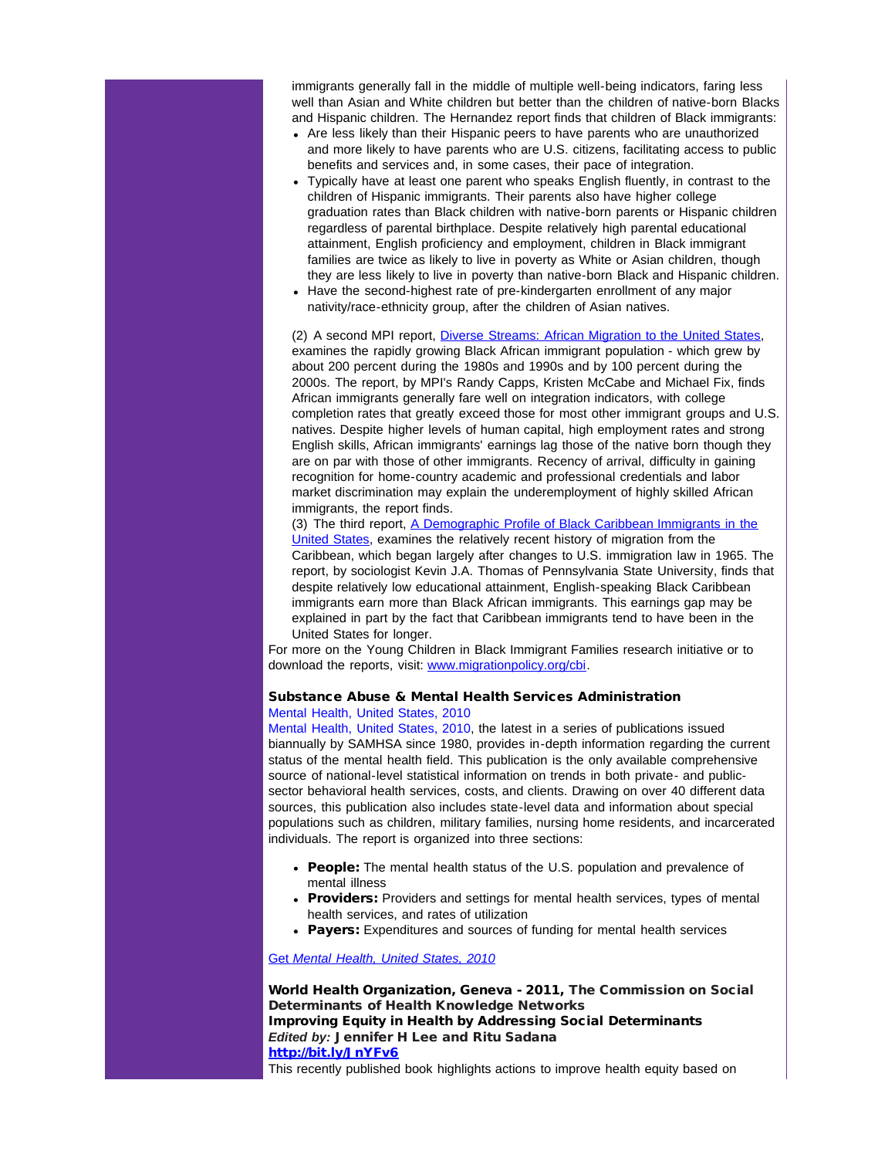immigrants generally fall in the middle of multiple well-being indicators, faring less well than Asian and White children but better than the children of native-born Blacks and Hispanic children. The Hernandez report finds that children of Black immigrants:

- Are less likely than their Hispanic peers to have parents who are unauthorized and more likely to have parents who are U.S. citizens, facilitating access to public benefits and services and, in some cases, their pace of integration.
- Typically have at least one parent who speaks English fluently, in contrast to the children of Hispanic immigrants. Their parents also have higher college graduation rates than Black children with native-born parents or Hispanic children regardless of parental birthplace. Despite relatively high parental educational attainment, English proficiency and employment, children in Black immigrant families are twice as likely to live in poverty as White or Asian children, though they are less likely to live in poverty than native-born Black and Hispanic children.
- Have the second-highest rate of pre-kindergarten enrollment of any major nativity/race-ethnicity group, after the children of Asian natives.

(2) A second MPI report, [Diverse Streams: African Migration to the United States](http://r20.rs6.net/tn.jsp?t=u77nqxjab.0.nlitqxjab.5gytkqcab.1&ts=S0765&p=http%3A%2F%2Fmy.migrationpolicy.org%2Fsalsa%2Ftrack.jsp%3Fv%3D2%26c%3DfXwR6IKr8iCXrfhViqRJQ6XyL04PiP0A), examines the rapidly growing Black African immigrant population - which grew by about 200 percent during the 1980s and 1990s and by 100 percent during the 2000s. The report, by MPI's Randy Capps, Kristen McCabe and Michael Fix, finds African immigrants generally fare well on integration indicators, with college completion rates that greatly exceed those for most other immigrant groups and U.S. natives. Despite higher levels of human capital, high employment rates and strong English skills, African immigrants' earnings lag those of the native born though they are on par with those of other immigrants. Recency of arrival, difficulty in gaining recognition for home-country academic and professional credentials and labor market discrimination may explain the underemployment of highly skilled African immigrants, the report finds.

(3) The third report, [A Demographic Profile of Black Caribbean Immigrants in the](http://r20.rs6.net/tn.jsp?t=u77nqxjab.0.plitqxjab.5gytkqcab.1&ts=S0765&p=http%3A%2F%2Fmy.migrationpolicy.org%2Fsalsa%2Ftrack.jsp%3Fv%3D2%26c%3DPioaRiOHUBtZUUIdHes5oKXyL04PiP0A) [United States,](http://r20.rs6.net/tn.jsp?t=u77nqxjab.0.plitqxjab.5gytkqcab.1&ts=S0765&p=http%3A%2F%2Fmy.migrationpolicy.org%2Fsalsa%2Ftrack.jsp%3Fv%3D2%26c%3DPioaRiOHUBtZUUIdHes5oKXyL04PiP0A) examines the relatively recent history of migration from the Caribbean, which began largely after changes to U.S. immigration law in 1965. The report, by sociologist Kevin J.A. Thomas of Pennsylvania State University, finds that despite relatively low educational attainment, English-speaking Black Caribbean immigrants earn more than Black African immigrants. This earnings gap may be explained in part by the fact that Caribbean immigrants tend to have been in the United States for longer.

For more on the Young Children in Black Immigrant Families research initiative or to download the reports, visit: [www.migrationpolicy.org/cbi.](http://r20.rs6.net/tn.jsp?t=u77nqxjab.0.qlitqxjab.5gytkqcab.1&ts=S0765&p=http%3A%2F%2Fmy.migrationpolicy.org%2Fsalsa%2Ftrack.jsp%3Fv%3D2%26c%3DXDE%252BuTy7%252FiWA2PUZIQRj%252FKXyL04PiP0A)

#### Substance Abuse & Mental Health Services Administration [Mental Health, United States, 2010](http://r20.rs6.net/tn.jsp?t=u77nqxjab.0.rlitqxjab.5gytkqcab.1&ts=S0765&p=http%3A%2F%2Flinks.govdelivery.com%3A80%2Ftrack%3Ftype%3Dclick%26enid%3DZWFzPTEmbWFpbGluZ2lkPTIwMTIwNDI1LjcwOTA4NTEmbWVzc2FnZWlkPU1EQi1QUkQtQlVMLTIwMTIwNDI1LjcwOTA4NTEmZGF0YWJhc2VpZD0xMDAxJnNlcmlhbD0xNjk2NTA2OSZlbWFpbGlkPWpuYThAY2RjLmdvdiZ1c2VyaWQ9am5hOEBjZGMuZ292JmZsPSZleHRyYT1NdWx0aXZhcmlhdGVJZD0mJiY%3D%26%26%26102%26%26%26http%3A%2F%2Fstore.samhsa.gov%2Fproduct%2FMental-Health-United-States-2010%2FSMA12-4681%3FWT.ac%3DEB_20120425_SMA12-4681)

[Mental Health, United States, 2010,](http://r20.rs6.net/tn.jsp?t=u77nqxjab.0.rlitqxjab.5gytkqcab.1&ts=S0765&p=http%3A%2F%2Flinks.govdelivery.com%3A80%2Ftrack%3Ftype%3Dclick%26enid%3DZWFzPTEmbWFpbGluZ2lkPTIwMTIwNDI1LjcwOTA4NTEmbWVzc2FnZWlkPU1EQi1QUkQtQlVMLTIwMTIwNDI1LjcwOTA4NTEmZGF0YWJhc2VpZD0xMDAxJnNlcmlhbD0xNjk2NTA2OSZlbWFpbGlkPWpuYThAY2RjLmdvdiZ1c2VyaWQ9am5hOEBjZGMuZ292JmZsPSZleHRyYT1NdWx0aXZhcmlhdGVJZD0mJiY%3D%26%26%26102%26%26%26http%3A%2F%2Fstore.samhsa.gov%2Fproduct%2FMental-Health-United-States-2010%2FSMA12-4681%3FWT.ac%3DEB_20120425_SMA12-4681) the latest in a series of publications issued biannually by SAMHSA since 1980, provides in-depth information regarding the current status of the mental health field. This publication is the only available comprehensive source of national-level statistical information on trends in both private- and publicsector behavioral health services, costs, and clients. Drawing on over 40 different data sources, this publication also includes state-level data and information about special populations such as children, military families, nursing home residents, and incarcerated individuals. The report is organized into three sections:

- People: The mental health status of the U.S. population and prevalence of mental illness
- Providers: Providers and settings for mental health services, types of mental health services, and rates of utilization
- Payers: Expenditures and sources of funding for mental health services

[Get](http://r20.rs6.net/tn.jsp?t=u77nqxjab.0.tlitqxjab.5gytkqcab.1&ts=S0765&p=http%3A%2F%2Flinks.govdelivery.com%3A80%2Ftrack%3Ftype%3Dclick%26enid%3DZWFzPTEmbWFpbGluZ2lkPTIwMTIwNDI1LjcwOTA4NTEmbWVzc2FnZWlkPU1EQi1QUkQtQlVMLTIwMTIwNDI1LjcwOTA4NTEmZGF0YWJhc2VpZD0xMDAxJnNlcmlhbD0xNjk2NTA2OSZlbWFpbGlkPWpuYThAY2RjLmdvdiZ1c2VyaWQ9am5hOEBjZGMuZ292JmZsPSZleHRyYT1NdWx0aXZhcmlhdGVJZD0mJiY%3D%26%26%26103%26%26%26http%3A%2F%2Fstore.samhsa.gov%2Fproduct%2FMental-Health-United-States-2010%2FSMA12-4681%3FWT.ac%3DEB_20120425_SMA12-4681) *[Mental Health, United States, 2010](http://r20.rs6.net/tn.jsp?t=u77nqxjab.0.tlitqxjab.5gytkqcab.1&ts=S0765&p=http%3A%2F%2Flinks.govdelivery.com%3A80%2Ftrack%3Ftype%3Dclick%26enid%3DZWFzPTEmbWFpbGluZ2lkPTIwMTIwNDI1LjcwOTA4NTEmbWVzc2FnZWlkPU1EQi1QUkQtQlVMLTIwMTIwNDI1LjcwOTA4NTEmZGF0YWJhc2VpZD0xMDAxJnNlcmlhbD0xNjk2NTA2OSZlbWFpbGlkPWpuYThAY2RjLmdvdiZ1c2VyaWQ9am5hOEBjZGMuZ292JmZsPSZleHRyYT1NdWx0aXZhcmlhdGVJZD0mJiY%3D%26%26%26103%26%26%26http%3A%2F%2Fstore.samhsa.gov%2Fproduct%2FMental-Health-United-States-2010%2FSMA12-4681%3FWT.ac%3DEB_20120425_SMA12-4681)*

World Health Organization, Geneva - 2011, The Commission on Social Determinants of Health Knowledge Networks Improving Equity in Health by Addressing Social Determinants *Edited by:* Jennifer H Lee and Ritu Sadana [http://bit.ly/JnYFv6](http://r20.rs6.net/tn.jsp?t=u77nqxjab.0.ulitqxjab.5gytkqcab.1&ts=S0765&p=http%3A%2F%2Fbit.ly%2FJnYFv6)

This recently published book highlights actions to improve health equity based on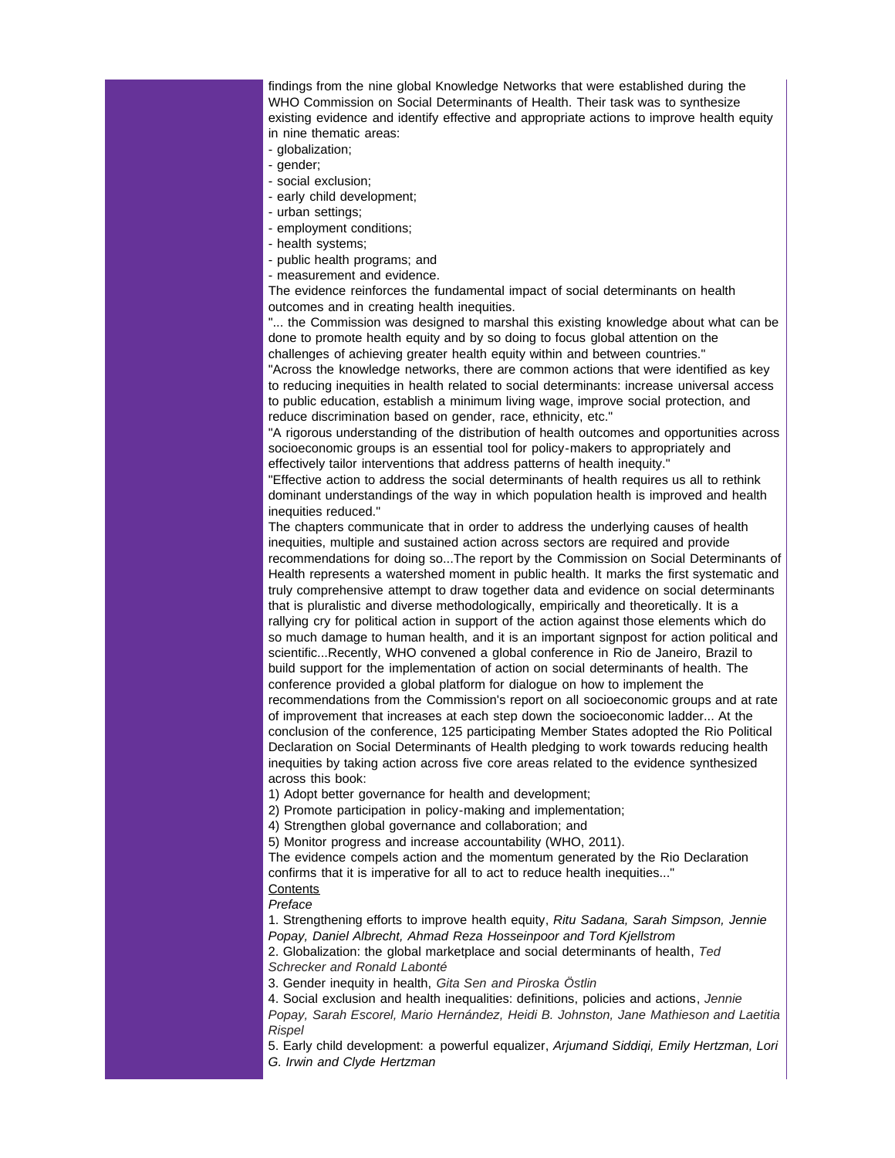findings from the nine global Knowledge Networks that were established during the WHO Commission on Social Determinants of Health. Their task was to synthesize existing evidence and identify effective and appropriate actions to improve health equity in nine thematic areas:

- globalization;

- gender;

- social exclusion;
- early child development;
- urban settings;
- employment conditions;
- health systems;
- public health programs; and
- measurement and evidence.

The evidence reinforces the fundamental impact of social determinants on health outcomes and in creating health inequities.

"... the Commission was designed to marshal this existing knowledge about what can be done to promote health equity and by so doing to focus global attention on the challenges of achieving greater health equity within and between countries." "Across the knowledge networks, there are common actions that were identified as key to reducing inequities in health related to social determinants: increase universal access to public education, establish a minimum living wage, improve social protection, and

reduce discrimination based on gender, race, ethnicity, etc."

"A rigorous understanding of the distribution of health outcomes and opportunities across socioeconomic groups is an essential tool for policy-makers to appropriately and effectively tailor interventions that address patterns of health inequity."

"Effective action to address the social determinants of health requires us all to rethink dominant understandings of the way in which population health is improved and health inequities reduced."

The chapters communicate that in order to address the underlying causes of health inequities, multiple and sustained action across sectors are required and provide recommendations for doing so...The report by the Commission on Social Determinants of Health represents a watershed moment in public health. It marks the first systematic and truly comprehensive attempt to draw together data and evidence on social determinants that is pluralistic and diverse methodologically, empirically and theoretically. It is a rallying cry for political action in support of the action against those elements which do so much damage to human health, and it is an important signpost for action political and scientific...Recently, WHO convened a global conference in Rio de Janeiro, Brazil to build support for the implementation of action on social determinants of health. The conference provided a global platform for dialogue on how to implement the recommendations from the Commission's report on all socioeconomic groups and at rate of improvement that increases at each step down the socioeconomic ladder... At the conclusion of the conference, 125 participating Member States adopted the Rio Political Declaration on Social Determinants of Health pledging to work towards reducing health inequities by taking action across five core areas related to the evidence synthesized across this book:

1) Adopt better governance for health and development;

2) Promote participation in policy-making and implementation;

4) Strengthen global governance and collaboration; and

5) Monitor progress and increase accountability (WHO, 2011).

The evidence compels action and the momentum generated by the Rio Declaration confirms that it is imperative for all to act to reduce health inequities..." **Contents** 

*Preface*

1. Strengthening efforts to improve health equity, *Ritu Sadana, Sarah Simpson, Jennie Popay, Daniel Albrecht, Ahmad Reza Hosseinpoor and Tord Kjellstrom*

2. Globalization: the global marketplace and social determinants of health, *Ted Schrecker and Ronald Labonté*

3. Gender inequity in health, *Gita Sen and Piroska Östlin*

4. Social exclusion and health inequalities: definitions, policies and actions, *Jennie Popay, Sarah Escorel, Mario Hernández, Heidi B. Johnston, Jane Mathieson and Laetitia Rispel*

5. Early child development: a powerful equalizer, *Arjumand Siddiqi, Emily Hertzman, Lori G. Irwin and Clyde Hertzman*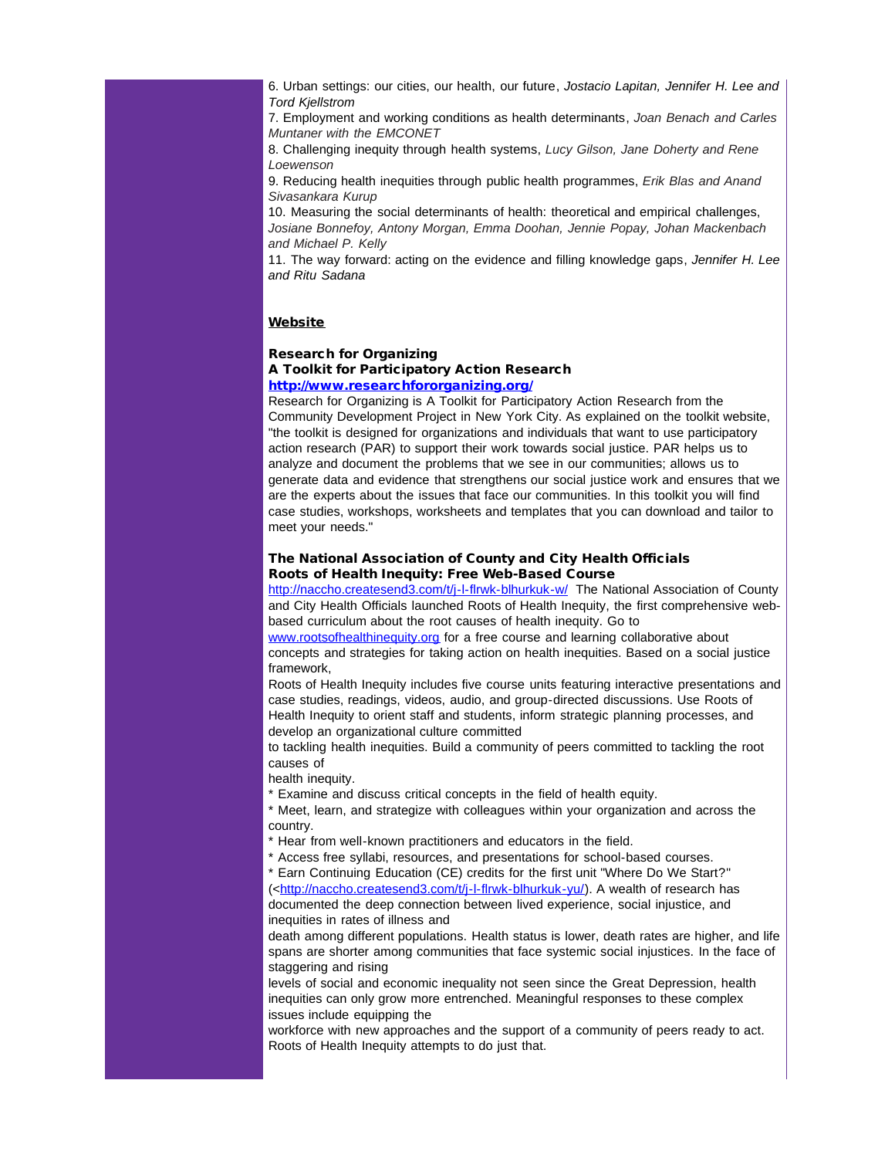6. Urban settings: our cities, our health, our future, *Jostacio Lapitan, Jennifer H. Lee and Tord Kjellstrom*

7. Employment and working conditions as health determinants, *Joan Benach and Carles Muntaner with the EMCONET*

8. Challenging inequity through health systems, *Lucy Gilson, Jane Doherty and Rene Loewenson*

9. Reducing health inequities through public health programmes, *Erik Blas and Anand Sivasankara Kurup*

10. Measuring the social determinants of health: theoretical and empirical challenges, *Josiane Bonnefoy, Antony Morgan, Emma Doohan, Jennie Popay, Johan Mackenbach and Michael P. Kelly*

11. The way forward: acting on the evidence and filling knowledge gaps, *Jennifer H. Lee and Ritu Sadana*

#### **Website**

## Research for Organizing A Toolkit for Participatory Action Research

## [http://www.researchfororganizing.org/](http://r20.rs6.net/tn.jsp?t=u77nqxjab.0.xlitqxjab.5gytkqcab.1&ts=S0765&p=http%3A%2F%2Fwww.researchfororganizing.org%2F)

Research for Organizing is A Toolkit for Participatory Action Research from the Community Development Project in New York City. As explained on the toolkit website, "the toolkit is designed for organizations and individuals that want to use participatory action research (PAR) to support their work towards social justice. PAR helps us to analyze and document the problems that we see in our communities; allows us to generate data and evidence that strengthens our social justice work and ensures that we are the experts about the issues that face our communities. In this toolkit you will find case studies, workshops, worksheets and templates that you can download and tailor to meet your needs."

#### The National Association of County and City Health Officials Roots of Health Inequity: Free Web-Based Course

[http://naccho.createsend3.com/t/j-l-flrwk-blhurkuk-w/](http://r20.rs6.net/tn.jsp?t=u77nqxjab.0.ylitqxjab.5gytkqcab.1&ts=S0765&p=http%3A%2F%2Fnaccho.createsend3.com%2Ft%2Fj-l-flrwk-blhurkuk-w%2F) The National Association of County and City Health Officials launched Roots of Health Inequity, the first comprehensive webbased curriculum about the root causes of health inequity. Go to

[www.rootsofhealthinequity.org](http://r20.rs6.net/tn.jsp?t=u77nqxjab.0.9litqxjab.5gytkqcab.1&ts=S0765&p=http%3A%2F%2Fwww.rootsofhealthinequity.org) for a free course and learning collaborative about concepts and strategies for taking action on health inequities. Based on a social justice framework,

Roots of Health Inequity includes five course units featuring interactive presentations and case studies, readings, videos, audio, and group-directed discussions. Use Roots of Health Inequity to orient staff and students, inform strategic planning processes, and develop an organizational culture committed

to tackling health inequities. Build a community of peers committed to tackling the root causes of

health inequity.

\* Examine and discuss critical concepts in the field of health equity.

\* Meet, learn, and strategize with colleagues within your organization and across the country.

\* Hear from well-known practitioners and educators in the field.

\* Access free syllabi, resources, and presentations for school-based courses.

\* Earn Continuing Education (CE) credits for the first unit "Where Do We Start?" (<[http://naccho.createsend3.com/t/j-l-flrwk-blhurkuk-yu/](http://r20.rs6.net/tn.jsp?t=u77nqxjab.0.6litqxjab.5gytkqcab.1&ts=S0765&p=http%3A%2F%2Fnaccho.createsend3.com%2Ft%2Fj-l-flrwk-blhurkuk-yu%2F)). A wealth of research has documented the deep connection between lived experience, social injustice, and inequities in rates of illness and

death among different populations. Health status is lower, death rates are higher, and life spans are shorter among communities that face systemic social injustices. In the face of staggering and rising

levels of social and economic inequality not seen since the Great Depression, health inequities can only grow more entrenched. Meaningful responses to these complex issues include equipping the

workforce with new approaches and the support of a community of peers ready to act. Roots of Health Inequity attempts to do just that.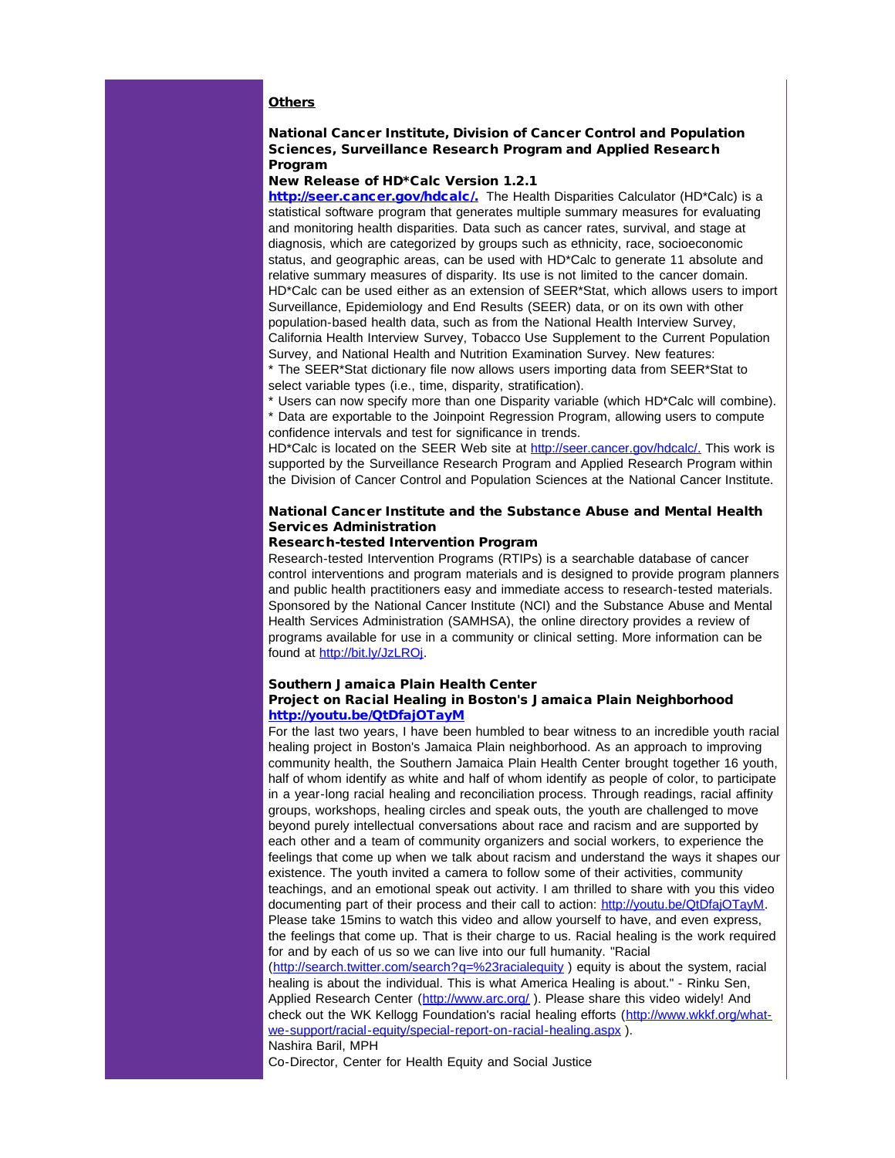## **Others**

#### National Cancer Institute, Division of Cancer Control and Population Sciences, Surveillance Research Program and Applied Research Program

#### New Release of HD\*Calc Version 1.2.1

[http://seer.cancer.gov/hdcalc/.](http://r20.rs6.net/tn.jsp?t=u77nqxjab.0.gvzetadab.5gytkqcab.1&ts=S0765&p=http%3A%2F%2Fseer.cancer.gov%2Fhdcalc%2F) The Health Disparities Calculator (HD\*Calc) is a statistical software program that generates multiple summary measures for evaluating and monitoring health disparities. Data such as cancer rates, survival, and stage at diagnosis, which are categorized by groups such as ethnicity, race, socioeconomic status, and geographic areas, can be used with HD\*Calc to generate 11 absolute and relative summary measures of disparity. Its use is not limited to the cancer domain. HD\*Calc can be used either as an extension of SEER\*Stat, which allows users to import Surveillance, Epidemiology and End Results (SEER) data, or on its own with other population-based health data, such as from the National Health Interview Survey, California Health Interview Survey, Tobacco Use Supplement to the Current Population Survey, and National Health and Nutrition Examination Survey. New features:

\* The SEER\*Stat dictionary file now allows users importing data from SEER\*Stat to select variable types (i.e., time, disparity, stratification).

\* Users can now specify more than one Disparity variable (which HD\*Calc will combine). \* Data are exportable to the Joinpoint Regression Program, allowing users to compute confidence intervals and test for significance in trends.

HD<sup>\*</sup>Calc is located on the SEER Web site at [http://seer.cancer.gov/hdcalc/.](http://r20.rs6.net/tn.jsp?t=u77nqxjab.0.gvzetadab.5gytkqcab.1&ts=S0765&p=http%3A%2F%2Fseer.cancer.gov%2Fhdcalc%2F) This work is supported by the Surveillance Research Program and Applied Research Program within the Division of Cancer Control and Population Sciences at the National Cancer Institute.

## National Cancer Institute and the Substance Abuse and Mental Health Services Administration

#### Research-tested Intervention Program

Research-tested Intervention Programs (RTIPs) is a searchable database of cancer control interventions and program materials and is designed to provide program planners and public health practitioners easy and immediate access to research-tested materials. Sponsored by the National Cancer Institute (NCI) and the Substance Abuse and Mental Health Services Administration (SAMHSA), the online directory provides a review of programs available for use in a community or clinical setting. More information can be found at [http://bit.ly/JzLROj.](http://r20.rs6.net/tn.jsp?t=u77nqxjab.0.4litqxjab.5gytkqcab.1&ts=S0765&p=http%3A%2F%2Fbit.ly%2FJzLROj)

## Southern Jamaica Plain Health Center

## Project on Racial Healing in Boston's Jamaica Plain Neighborhood [http://youtu.be/QtDfajOTayM](http://r20.rs6.net/tn.jsp?t=u77nqxjab.0.amitqxjab.5gytkqcab.1&ts=S0765&p=http%3A%2F%2Fyoutu.be%2FQtDfajOTayM)

For the last two years, I have been humbled to bear witness to an incredible youth racial healing project in Boston's Jamaica Plain neighborhood. As an approach to improving community health, the Southern Jamaica Plain Health Center brought together 16 youth, half of whom identify as white and half of whom identify as people of color, to participate in a year-long racial healing and reconciliation process. Through readings, racial affinity groups, workshops, healing circles and speak outs, the youth are challenged to move beyond purely intellectual conversations about race and racism and are supported by each other and a team of community organizers and social workers, to experience the feelings that come up when we talk about racism and understand the ways it shapes our existence. The youth invited a camera to follow some of their activities, community teachings, and an emotional speak out activity. I am thrilled to share with you this video documenting part of their process and their call to action: [http://youtu.be/QtDfajOTayM.](http://r20.rs6.net/tn.jsp?t=u77nqxjab.0.amitqxjab.5gytkqcab.1&ts=S0765&p=http%3A%2F%2Fyoutu.be%2FQtDfajOTayM) Please take 15mins to watch this video and allow yourself to have, and even express, the feelings that come up. That is their charge to us. Racial healing is the work required for and by each of us so we can live into our full humanity. "Racial ([http://search.twitter.com/search?q=%23racialequity](http://r20.rs6.net/tn.jsp?t=u77nqxjab.0.bmitqxjab.5gytkqcab.1&ts=S0765&p=http%3A%2F%2Fsearch.twitter.com%2Fsearch%3Fq%3D%2523racialequity) ) equity is about the system, racial healing is about the individual. This is what America Healing is about." - Rinku Sen, Applied Research Center ([http://www.arc.org/](http://r20.rs6.net/tn.jsp?t=u77nqxjab.0.cmitqxjab.5gytkqcab.1&ts=S0765&p=http%3A%2F%2Fwww.arc.org%2F)). Please share this video widely! And check out the WK Kellogg Foundation's racial healing efforts ([http://www.wkkf.org/what](http://r20.rs6.net/tn.jsp?t=u77nqxjab.0.dmitqxjab.5gytkqcab.1&ts=S0765&p=http%3A%2F%2Fwww.wkkf.org%2Fwhat-we-support%2Fracial-equity%2Fspecial-report-on-racial-healing.aspx)[we-support/racial-equity/special-report-on-racial-healing.aspx](http://r20.rs6.net/tn.jsp?t=u77nqxjab.0.dmitqxjab.5gytkqcab.1&ts=S0765&p=http%3A%2F%2Fwww.wkkf.org%2Fwhat-we-support%2Fracial-equity%2Fspecial-report-on-racial-healing.aspx) ). Nashira Baril, MPH

Co-Director, Center for Health Equity and Social Justice